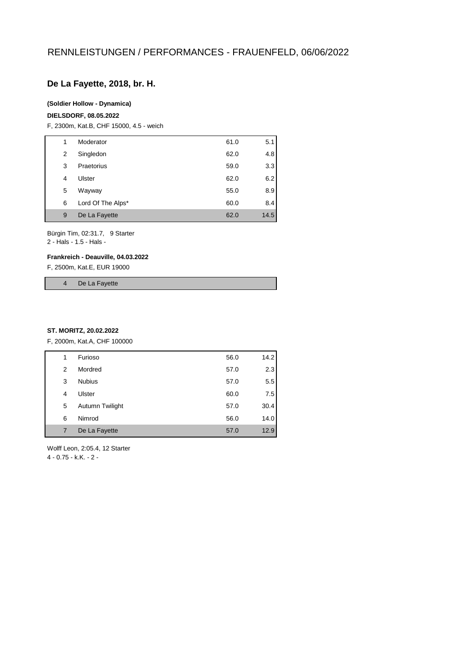# **De La Fayette, 2018, br. H.**

### **(Soldier Hollow - Dynamica)**

#### **DIELSDORF, 08.05.2022**

F, 2300m, Kat.B, CHF 15000, 4.5 - weich

| 1 | Moderator         | 61.0 | 5.1  |
|---|-------------------|------|------|
| 2 | Singledon         | 62.0 | 4.8  |
| 3 | Praetorius        | 59.0 | 3.3  |
| 4 | Ulster            | 62.0 | 6.2  |
| 5 | Wayway            | 55.0 | 8.9  |
| 6 | Lord Of The Alps* | 60.0 | 8.4  |
| 9 | De La Fayette     | 62.0 | 14.5 |
|   |                   |      |      |

Bürgin Tim, 02:31.7, 9 Starter 2 - Hals - 1.5 - Hals -

#### **Frankreich - Deauville, 04.03.2022**

F, 2500m, Kat.E, EUR 19000

4 De La Fayette

#### **ST. MORITZ, 20.02.2022**

F, 2000m, Kat.A, CHF 100000

| Furioso<br>14.2<br>56.0<br>1<br>2.3<br>Mordred<br>57.0<br>2<br>5.5<br><b>Nubius</b><br>57.0<br>3<br>7.5<br>Ulster<br>60.0<br>4<br>57.0<br>5<br>Autumn Twilight<br>30.4<br>Nimrod<br>56.0<br>14.0<br>6<br>De La Fayette<br>12.9<br>57.0<br>7 |  |  |  |
|---------------------------------------------------------------------------------------------------------------------------------------------------------------------------------------------------------------------------------------------|--|--|--|
|                                                                                                                                                                                                                                             |  |  |  |
|                                                                                                                                                                                                                                             |  |  |  |
|                                                                                                                                                                                                                                             |  |  |  |
|                                                                                                                                                                                                                                             |  |  |  |
|                                                                                                                                                                                                                                             |  |  |  |
|                                                                                                                                                                                                                                             |  |  |  |
|                                                                                                                                                                                                                                             |  |  |  |

Wolff Leon, 2:05.4, 12 Starter 4 - 0.75 - k.K. - 2 -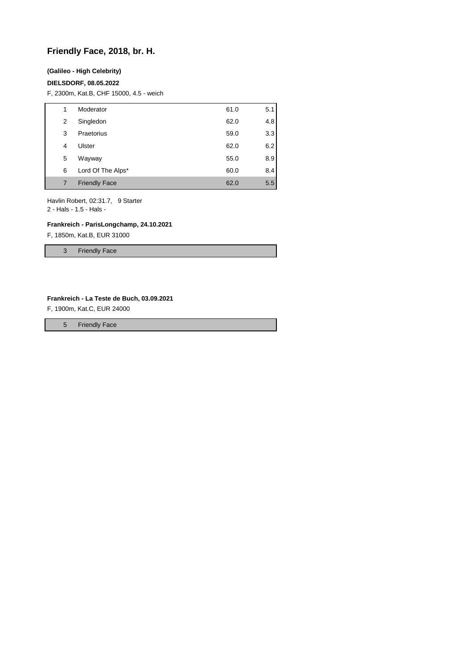# **Friendly Face, 2018, br. H.**

#### **(Galileo - High Celebrity)**

#### **DIELSDORF, 08.05.2022**

F, 2300m, Kat.B, CHF 15000, 4.5 - weich

| 1 | Moderator            | 61.0 | 5.1 |
|---|----------------------|------|-----|
| 2 | Singledon            | 62.0 | 4.8 |
| 3 | Praetorius           | 59.0 | 3.3 |
| 4 | Ulster               | 62.0 | 6.2 |
| 5 | Wayway               | 55.0 | 8.9 |
| 6 | Lord Of The Alps*    | 60.0 | 8.4 |
| 7 | <b>Friendly Face</b> | 62.0 | 5.5 |

Havlin Robert, 02:31.7, 9 Starter 2 - Hals - 1.5 - Hals -

## **Frankreich - ParisLongchamp, 24.10.2021**

F, 1850m, Kat.B, EUR 31000

3 Friendly Face

#### **Frankreich - La Teste de Buch, 03.09.2021**

F, 1900m, Kat.C, EUR 24000

5 Friendly Face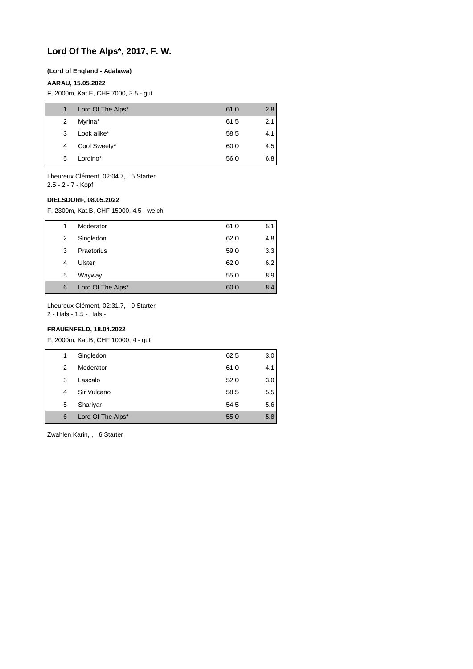# **Lord Of The Alps\*, 2017, F. W.**

### **(Lord of England - Adalawa)**

### **AARAU, 15.05.2022**

F, 2000m, Kat.E, CHF 7000, 3.5 - gut

| $\mathbf{1}$ | Lord Of The Alps* | 61.0 | 2.8 |
|--------------|-------------------|------|-----|
| 2            | Myrina*           | 61.5 | 2.1 |
| 3            | Look alike*       | 58.5 | 4.1 |
| 4            | Cool Sweety*      | 60.0 | 4.5 |
| 5            | Lordino*          | 56.0 | 6.8 |
|              |                   |      |     |

Lheureux Clément, 02:04.7, 5 Starter 2.5 - 2 - 7 - Kopf

**DIELSDORF, 08.05.2022**

F, 2300m, Kat.B, CHF 15000, 4.5 - weich

| 1 | Moderator         | 61.0 | 5.1 |
|---|-------------------|------|-----|
| 2 | Singledon         | 62.0 | 4.8 |
| 3 | Praetorius        | 59.0 | 3.3 |
| 4 | Ulster            | 62.0 | 6.2 |
| 5 | Wayway            | 55.0 | 8.9 |
| 6 | Lord Of The Alps* | 60.0 | 8.4 |

Lheureux Clément, 02:31.7, 9 Starter

2 - Hals - 1.5 - Hals -

### **FRAUENFELD, 18.04.2022**

F, 2000m, Kat.B, CHF 10000, 4 - gut

| 1 | Singledon         | 62.5 | 3.0 |
|---|-------------------|------|-----|
| 2 | Moderator         | 61.0 | 4.1 |
| 3 | Lascalo           | 52.0 | 3.0 |
| 4 | Sir Vulcano       | 58.5 | 5.5 |
| 5 | Shariyar          | 54.5 | 5.6 |
| 6 | Lord Of The Alps* | 55.0 | 5.8 |
|   |                   |      |     |

Zwahlen Karin, , 6 Starter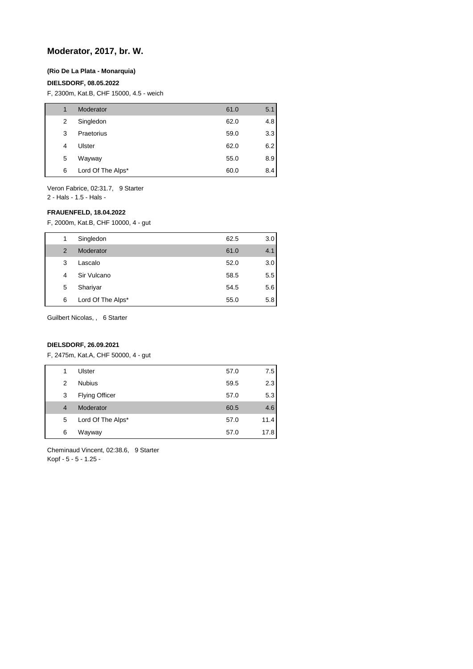### **Moderator, 2017, br. W.**

#### **(Rio De La Plata - Monarquia)**

#### **DIELSDORF, 08.05.2022**

F, 2300m, Kat.B, CHF 15000, 4.5 - weich

| 1 | Moderator         | 61.0 | 5.1 |
|---|-------------------|------|-----|
| 2 | Singledon         | 62.0 | 4.8 |
| 3 | Praetorius        | 59.0 | 3.3 |
| 4 | Ulster            | 62.0 | 6.2 |
| 5 | Wayway            | 55.0 | 8.9 |
| 6 | Lord Of The Alps* | 60.0 | 8.4 |

Veron Fabrice, 02:31.7, 9 Starter

2 - Hals - 1.5 - Hals -

#### **FRAUENFELD, 18.04.2022**

F, 2000m, Kat.B, CHF 10000, 4 - gut

| 1 | Singledon         | 62.5 | 3.0 <sub>1</sub> |
|---|-------------------|------|------------------|
| 2 | Moderator         | 61.0 | 4.1              |
| 3 | Lascalo           | 52.0 | 3.0              |
| 4 | Sir Vulcano       | 58.5 | 5.5              |
| 5 | Shariyar          | 54.5 | 5.6              |
| 6 | Lord Of The Alps* | 55.0 | 5.8              |

Guilbert Nicolas, , 6 Starter

### **DIELSDORF, 26.09.2021**

F, 2475m, Kat.A, CHF 50000, 4 - gut

| 1              | Ulster                | 57.0 | 7.5  |
|----------------|-----------------------|------|------|
| 2              | <b>Nubius</b>         | 59.5 | 2.3  |
| 3              | <b>Flying Officer</b> | 57.0 | 5.3  |
| $\overline{4}$ | Moderator             | 60.5 | 4.6  |
| 5              | Lord Of The Alps*     | 57.0 | 11.4 |
| 6              | Wayway                | 57.0 | 17.8 |
|                |                       |      |      |

Cheminaud Vincent, 02:38.6, 9 Starter Kopf - 5 - 5 - 1.25 -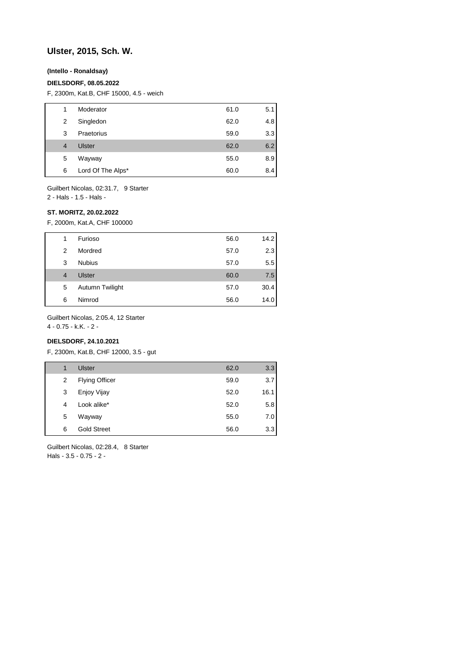# **Ulster, 2015, Sch. W.**

#### **(Intello - Ronaldsay)**

#### **DIELSDORF, 08.05.2022**

F, 2300m, Kat.B, CHF 15000, 4.5 - weich

| 1 | Moderator         | 61.0 | 5.1 |
|---|-------------------|------|-----|
| 2 | Singledon         | 62.0 | 4.8 |
| 3 | Praetorius        | 59.0 | 3.3 |
| 4 | Ulster            | 62.0 | 6.2 |
| 5 | Wayway            | 55.0 | 8.9 |
| 6 | Lord Of The Alps* | 60.0 | 8.4 |
|   |                   |      |     |

Guilbert Nicolas, 02:31.7, 9 Starter

2 - Hals - 1.5 - Hals -

### **ST. MORITZ, 20.02.2022**

F, 2000m, Kat.A, CHF 100000

| 1              | Furioso         | 56.0 | 14.2 |
|----------------|-----------------|------|------|
| 2              | Mordred         | 57.0 | 2.3  |
| 3              | <b>Nubius</b>   | 57.0 | 5.5  |
| $\overline{4}$ | Ulster          | 60.0 | 7.5  |
| 5              | Autumn Twilight | 57.0 | 30.4 |
| 6              | Nimrod          | 56.0 | 14.0 |

Guilbert Nicolas, 2:05.4, 12 Starter

4 - 0.75 - k.K. - 2 -

### **DIELSDORF, 24.10.2021**

F, 2300m, Kat.B, CHF 12000, 3.5 - gut

| 1 | Ulster                | 62.0 | 3.3  |
|---|-----------------------|------|------|
| 2 | <b>Flying Officer</b> | 59.0 | 3.7  |
| 3 | Enjoy Vijay           | 52.0 | 16.1 |
| 4 | Look alike*           | 52.0 | 5.8  |
| 5 | Wayway                | 55.0 | 7.0  |
| 6 | <b>Gold Street</b>    | 56.0 | 3.3  |

Guilbert Nicolas, 02:28.4, 8 Starter Hals - 3.5 - 0.75 - 2 -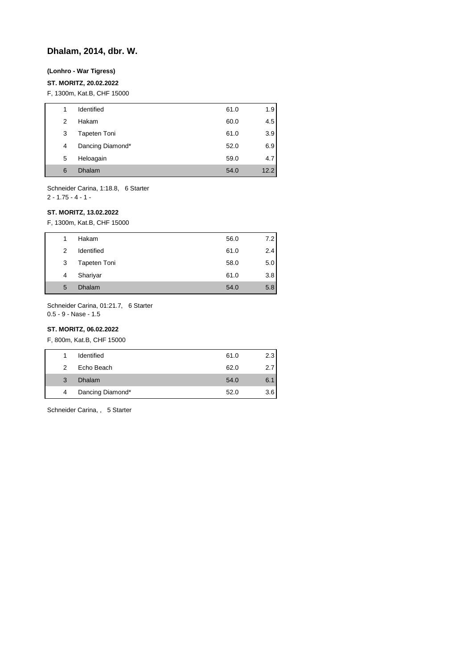# **Dhalam, 2014, dbr. W.**

#### **(Lonhro - War Tigress)**

#### **ST. MORITZ, 20.02.2022**

F, 1300m, Kat.B, CHF 15000

| 1 | Identified       | 61.0 | 1.9  |
|---|------------------|------|------|
| 2 | Hakam            | 60.0 | 4.5  |
| 3 | Tapeten Toni     | 61.0 | 3.9  |
| 4 | Dancing Diamond* | 52.0 | 6.9  |
| 5 | Heloagain        | 59.0 | 4.7  |
| 6 | Dhalam           | 54.0 | 12.2 |

Schneider Carina, 1:18.8, 6 Starter 2 - 1.75 - 4 - 1 -

# **ST. MORITZ, 13.02.2022**

F, 1300m, Kat.B, CHF 15000

| 1 | Hakam        | 56.0 | 7.2 |
|---|--------------|------|-----|
| 2 | Identified   | 61.0 | 2.4 |
| 3 | Tapeten Toni | 58.0 | 5.0 |
| 4 | Shariyar     | 61.0 | 3.8 |
| 5 | Dhalam       | 54.0 | 5.8 |

Schneider Carina, 01:21.7, 6 Starter 0.5 - 9 - Nase - 1.5

# **ST. MORITZ, 06.02.2022**

F, 800m, Kat.B, CHF 15000

|   | Identified       | 61.0 | 2.3 |
|---|------------------|------|-----|
| 2 | Echo Beach       | 62.0 | 2.7 |
| 3 | <b>Dhalam</b>    | 54.0 | 6.1 |
| 4 | Dancing Diamond* | 52.0 | 3.6 |

Schneider Carina, , 5 Starter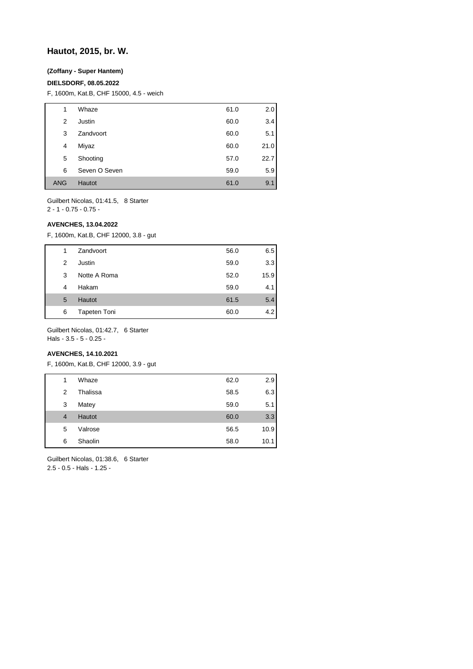### **Hautot, 2015, br. W.**

#### **(Zoffany - Super Hantem)**

#### **DIELSDORF, 08.05.2022**

F, 1600m, Kat.B, CHF 15000, 4.5 - weich

| 1          | Whaze         | 61.0 | 2.0  |
|------------|---------------|------|------|
| 2          | Justin        | 60.0 | 3.4  |
| 3          | Zandvoort     | 60.0 | 5.1  |
| 4          | Miyaz         | 60.0 | 21.0 |
| 5          | Shooting      | 57.0 | 22.7 |
| 6          | Seven O Seven | 59.0 | 5.9  |
| <b>ANG</b> | Hautot        | 61.0 | 9.1  |

Guilbert Nicolas, 01:41.5, 8 Starter

2 - 1 - 0.75 - 0.75 -

#### **AVENCHES, 13.04.2022**

F, 1600m, Kat.B, CHF 12000, 3.8 - gut

| 1 | Zandvoort           | 56.0 | 6.5  |
|---|---------------------|------|------|
| 2 | Justin              | 59.0 | 3.3  |
| 3 | Notte A Roma        | 52.0 | 15.9 |
| 4 | Hakam               | 59.0 | 4.1  |
| 5 | <b>Hautot</b>       | 61.5 | 5.4  |
| 6 | <b>Tapeten Toni</b> | 60.0 | 4.2  |

Guilbert Nicolas, 01:42.7, 6 Starter Hals - 3.5 - 5 - 0.25 -

### **AVENCHES, 14.10.2021**

F, 1600m, Kat.B, CHF 12000, 3.9 - gut

| 1              | Whaze    | 62.0 | 2.9  |
|----------------|----------|------|------|
| 2              | Thalissa | 58.5 | 6.3  |
| 3              | Matey    | 59.0 | 5.1  |
| $\overline{4}$ | Hautot   | 60.0 | 3.3  |
| 5              | Valrose  | 56.5 | 10.9 |
| 6              | Shaolin  | 58.0 | 10.1 |

Guilbert Nicolas, 01:38.6, 6 Starter 2.5 - 0.5 - Hals - 1.25 -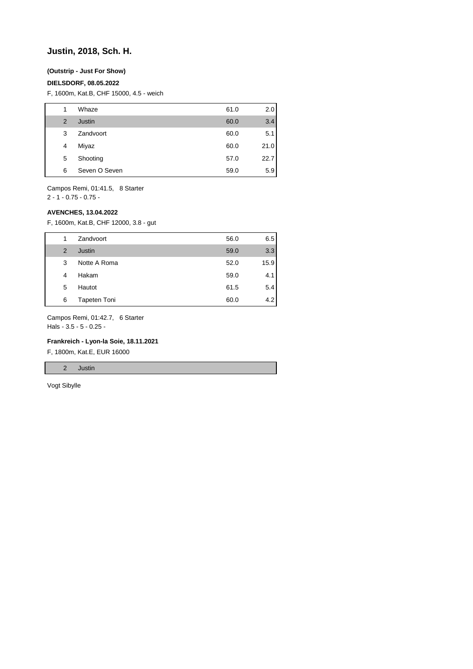### **Justin, 2018, Sch. H.**

### **(Outstrip - Just For Show)**

#### **DIELSDORF, 08.05.2022**

F, 1600m, Kat.B, CHF 15000, 4.5 - weich

| 1 | Whaze         | 61.0 | 2.0  |
|---|---------------|------|------|
| 2 | Justin        | 60.0 | 3.4  |
| 3 | Zandvoort     | 60.0 | 5.1  |
| 4 | Miyaz         | 60.0 | 21.0 |
| 5 | Shooting      | 57.0 | 22.7 |
| 6 | Seven O Seven | 59.0 | 5.9  |

Campos Remi, 01:41.5, 8 Starter

 $2 - 1 - 0.75 - 0.75 -$ 

### **AVENCHES, 13.04.2022**

F, 1600m, Kat.B, CHF 12000, 3.8 - gut

| 1 | Zandvoort    | 56.0 | 6.5  |
|---|--------------|------|------|
| 2 | Justin       | 59.0 | 3.3  |
| 3 | Notte A Roma | 52.0 | 15.9 |
| 4 | Hakam        | 59.0 | 4.1  |
| 5 | Hautot       | 61.5 | 5.4  |
| 6 | Tapeten Toni | 60.0 | 4.2  |

Campos Remi, 01:42.7, 6 Starter

Hals - 3.5 - 5 - 0.25 -

### **Frankreich - Lyon-la Soie, 18.11.2021**

F, 1800m, Kat.E, EUR 16000

2 Justin

Vogt Sibylle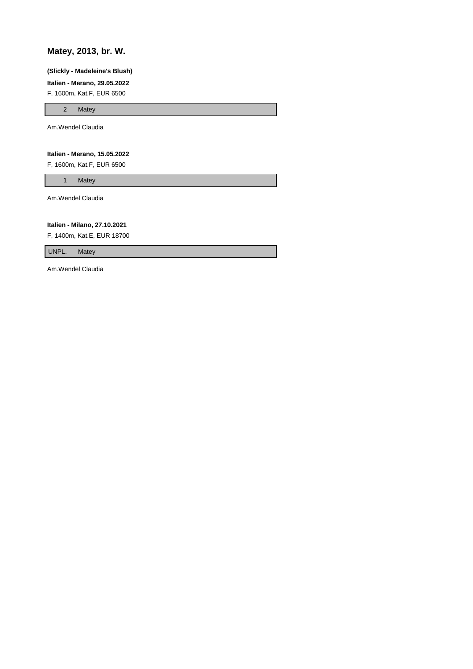# **Matey, 2013, br. W.**

#### **(Slickly - Madeleine's Blush)**

**Italien - Merano, 29.05.2022**

F, 1600m, Kat.F, EUR 6500

2 Matey

Am.Wendel Claudia

### **Italien - Merano, 15.05.2022**

F, 1600m, Kat.F, EUR 6500

1 Matey

Am.Wendel Claudia

#### **Italien - Milano, 27.10.2021**

F, 1400m, Kat.E, EUR 18700

UNPL. Matey

Am.Wendel Claudia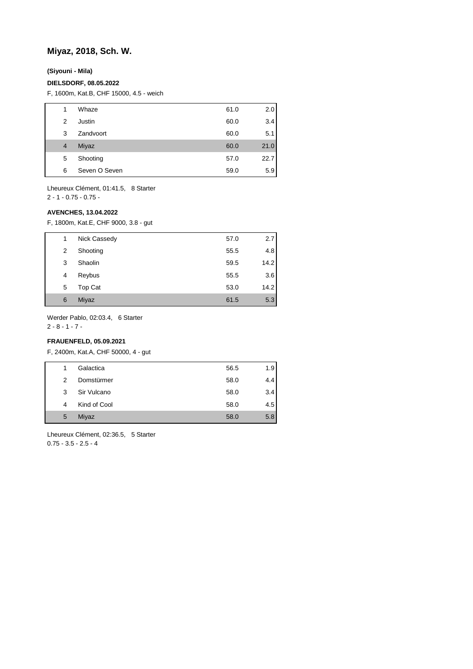# **Miyaz, 2018, Sch. W.**

**(Siyouni - Mila)**

#### **DIELSDORF, 08.05.2022**

F, 1600m, Kat.B, CHF 15000, 4.5 - weich

| 1              | Whaze         | 61.0 | 2.0  |
|----------------|---------------|------|------|
| 2              | Justin        | 60.0 | 3.4  |
| 3              | Zandvoort     | 60.0 | 5.1  |
| $\overline{4}$ | Miyaz         | 60.0 | 21.0 |
| 5              | Shooting      | 57.0 | 22.7 |
| 6              | Seven O Seven | 59.0 | 5.9  |
|                |               |      |      |

Lheureux Clément, 01:41.5, 8 Starter 2 - 1 - 0.75 - 0.75 -

#### **AVENCHES, 13.04.2022**

F, 1800m, Kat.E, CHF 9000, 3.8 - gut

| 1 | Nick Cassedy | 57.0 | 2.7  |
|---|--------------|------|------|
| 2 | Shooting     | 55.5 | 4.8  |
| 3 | Shaolin      | 59.5 | 14.2 |
| 4 | Reybus       | 55.5 | 3.6  |
| 5 | Top Cat      | 53.0 | 14.2 |
| 6 | Miyaz        | 61.5 | 5.3  |

Werder Pablo, 02:03.4, 6 Starter

2 - 8 - 1 - 7 -

## **FRAUENFELD, 05.09.2021**

F, 2400m, Kat.A, CHF 50000, 4 - gut

| 1 | Galactica    | 56.5 | 1.9 |
|---|--------------|------|-----|
| 2 | Domstürmer   | 58.0 | 4.4 |
| 3 | Sir Vulcano  | 58.0 | 3.4 |
| 4 | Kind of Cool | 58.0 | 4.5 |
| 5 | Miyaz        | 58.0 | 5.8 |

Lheureux Clément, 02:36.5, 5 Starter 0.75 - 3.5 - 2.5 - 4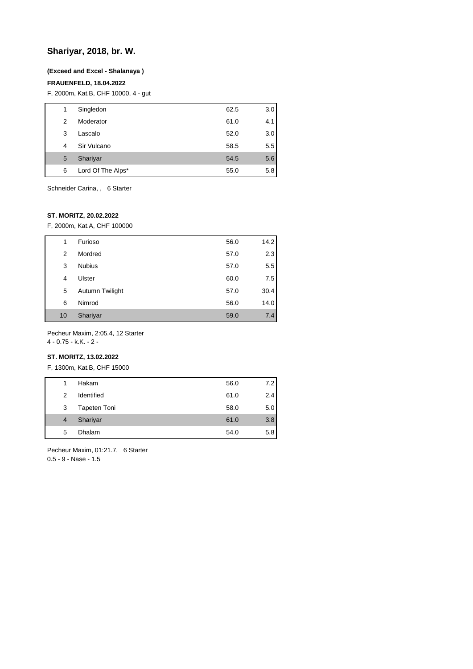# **Shariyar, 2018, br. W.**

#### **(Exceed and Excel - Shalanaya )**

#### **FRAUENFELD, 18.04.2022**

F, 2000m, Kat.B, CHF 10000, 4 - gut

| 1 | Singledon         | 62.5 | 3.0 |
|---|-------------------|------|-----|
| 2 | Moderator         | 61.0 | 4.1 |
| 3 | Lascalo           | 52.0 | 3.0 |
| 4 | Sir Vulcano       | 58.5 | 5.5 |
| 5 | Shariyar          | 54.5 | 5.6 |
| 6 | Lord Of The Alps* | 55.0 | 5.8 |

Schneider Carina, , 6 Starter

### **ST. MORITZ, 20.02.2022**

F, 2000m, Kat.A, CHF 100000

| 1  | Furioso         | 56.0 | 14.2 |
|----|-----------------|------|------|
| 2  | Mordred         | 57.0 | 2.3  |
| 3  | <b>Nubius</b>   | 57.0 | 5.5  |
| 4  | Ulster          | 60.0 | 7.5  |
| 5  | Autumn Twilight | 57.0 | 30.4 |
| 6  | Nimrod          | 56.0 | 14.0 |
| 10 | Shariyar        | 59.0 | 7.4  |
|    |                 |      |      |

Pecheur Maxim, 2:05.4, 12 Starter

4 - 0.75 - k.K. - 2 -

### **ST. MORITZ, 13.02.2022**

F, 1300m, Kat.B, CHF 15000

| 1              | Hakam        | 56.0 | 7.2 |
|----------------|--------------|------|-----|
| $\mathcal{P}$  | Identified   | 61.0 | 2.4 |
| 3              | Tapeten Toni | 58.0 | 5.0 |
| $\overline{4}$ | Shariyar     | 61.0 | 3.8 |
| 5              | Dhalam       | 54.0 | 5.8 |

Pecheur Maxim, 01:21.7, 6 Starter 0.5 - 9 - Nase - 1.5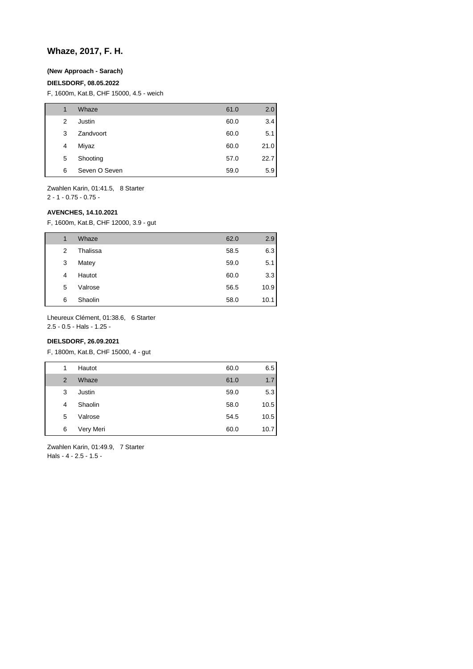# **Whaze, 2017, F. H.**

### **(New Approach - Sarach)**

#### **DIELSDORF, 08.05.2022**

F, 1600m, Kat.B, CHF 15000, 4.5 - weich

| 1 | Whaze         | 61.0 | 2.0  |
|---|---------------|------|------|
| 2 | Justin        | 60.0 | 3.4  |
| 3 | Zandvoort     | 60.0 | 5.1  |
| 4 | Miyaz         | 60.0 | 21.0 |
| 5 | Shooting      | 57.0 | 22.7 |
| 6 | Seven O Seven | 59.0 | 5.9  |

Zwahlen Karin, 01:41.5, 8 Starter

2 - 1 - 0.75 - 0.75 -

#### **AVENCHES, 14.10.2021**

F, 1600m, Kat.B, CHF 12000, 3.9 - gut

| 1 | Whaze    | 62.0 | 2.9  |
|---|----------|------|------|
| 2 | Thalissa | 58.5 | 6.3  |
| 3 | Matey    | 59.0 | 5.1  |
| 4 | Hautot   | 60.0 | 3.3  |
| 5 | Valrose  | 56.5 | 10.9 |
| 6 | Shaolin  | 58.0 | 10.1 |

Lheureux Clément, 01:38.6, 6 Starter

2.5 - 0.5 - Hals - 1.25 -

### **DIELSDORF, 26.09.2021**

F, 1800m, Kat.B, CHF 15000, 4 - gut

| 1              | Hautot    | 60.0 | 6.5  |
|----------------|-----------|------|------|
| $\overline{2}$ | Whaze     | 61.0 | 1.7  |
| 3              | Justin    | 59.0 | 5.3  |
| 4              | Shaolin   | 58.0 | 10.5 |
| 5              | Valrose   | 54.5 | 10.5 |
| 6              | Very Meri | 60.0 | 10.7 |

Zwahlen Karin, 01:49.9, 7 Starter Hals - 4 - 2.5 - 1.5 -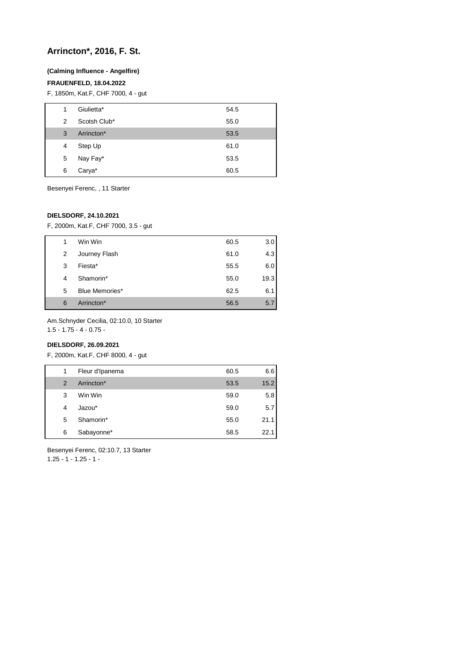# **Arrincton\*, 2016, F. St.**

### **(Calming Influence - Angelfire)**

### **FRAUENFELD, 18.04.2022**

F, 1850m, Kat.F, CHF 7000, 4 - gut

| 1 | Giulietta*   | 54.5 |
|---|--------------|------|
| 2 | Scotsh Club* | 55.0 |
| 3 | Arrincton*   | 53.5 |
| 4 | Step Up      | 61.0 |
| 5 | Nay Fay*     | 53.5 |
| 6 | Carya*       | 60.5 |

Besenyei Ferenc, , 11 Starter

### **DIELSDORF, 24.10.2021**

F, 2000m, Kat.F, CHF 7000, 3.5 - gut

| 1 |   | Win Win        | 60.5 | 3.0  |
|---|---|----------------|------|------|
|   | 2 | Journey Flash  | 61.0 | 4.3  |
| 3 |   | Fiesta*        | 55.5 | 6.0  |
| 4 |   | Shamorin*      | 55.0 | 19.3 |
| 5 |   | Blue Memories* | 62.5 | 6.1  |
| 6 |   | Arrincton*     | 56.5 | 5.7  |

Am.Schnyder Cecilia, 02:10.0, 10 Starter

1.5 - 1.75 - 4 - 0.75 -

### **DIELSDORF, 26.09.2021**

F, 2000m, Kat.F, CHF 8000, 4 - gut

| 1             | Fleur d'Ipanema | 60.5 | 6.6  |
|---------------|-----------------|------|------|
| $\mathcal{P}$ | Arrincton*      | 53.5 | 15.2 |
| 3             | Win Win         | 59.0 | 5.8  |
| 4             | Jazou*          | 59.0 | 5.7  |
| 5             | Shamorin*       | 55.0 | 21.1 |
| 6             | Sabayonne*      | 58.5 | 22.1 |

Besenyei Ferenc, 02:10.7, 13 Starter  $1.25 - 1 - 1.25 - 1$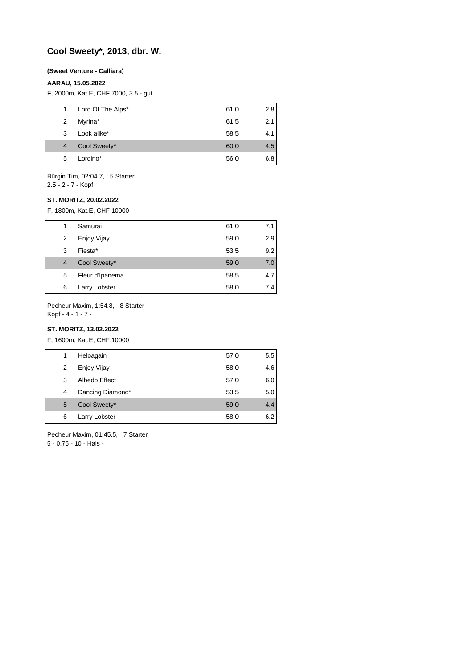# **Cool Sweety\*, 2013, dbr. W.**

#### **(Sweet Venture - Calliara)**

#### **AARAU, 15.05.2022**

F, 2000m, Kat.E, CHF 7000, 3.5 - gut

| 1. | Lord Of The Alps* | 61.0 | 2.8 |
|----|-------------------|------|-----|
| 2  | Myrina*           | 61.5 | 2.1 |
| 3  | Look alike*       | 58.5 | 4.1 |
| 4  | Cool Sweety*      | 60.0 | 4.5 |
| 5  | Lordino*          | 56.0 | 6.8 |
|    |                   |      |     |

Bürgin Tim, 02:04.7, 5 Starter

2.5 - 2 - 7 - Kopf

## **ST. MORITZ, 20.02.2022**

F, 1800m, Kat.E, CHF 10000

| 1              | Samurai         | 61.0 | 7.1 |
|----------------|-----------------|------|-----|
| 2              | Enjoy Vijay     | 59.0 | 2.9 |
| 3              | Fiesta*         | 53.5 | 9.2 |
| $\overline{4}$ | Cool Sweety*    | 59.0 | 7.0 |
| 5              | Fleur d'Ipanema | 58.5 | 4.7 |
| 6              | Larry Lobster   | 58.0 | 7.4 |

Pecheur Maxim, 1:54.8, 8 Starter Kopf - 4 - 1 - 7 -

### **ST. MORITZ, 13.02.2022**

F, 1600m, Kat.E, CHF 10000

| 1 | Heloagain        | 57.0 | 5.5 |
|---|------------------|------|-----|
| 2 | Enjoy Vijay      | 58.0 | 4.6 |
| 3 | Albedo Effect    | 57.0 | 6.0 |
| 4 | Dancing Diamond* | 53.5 | 5.0 |
| 5 | Cool Sweety*     | 59.0 | 4.4 |
| 6 | Larry Lobster    | 58.0 | 6.2 |

Pecheur Maxim, 01:45.5, 7 Starter 5 - 0.75 - 10 - Hals -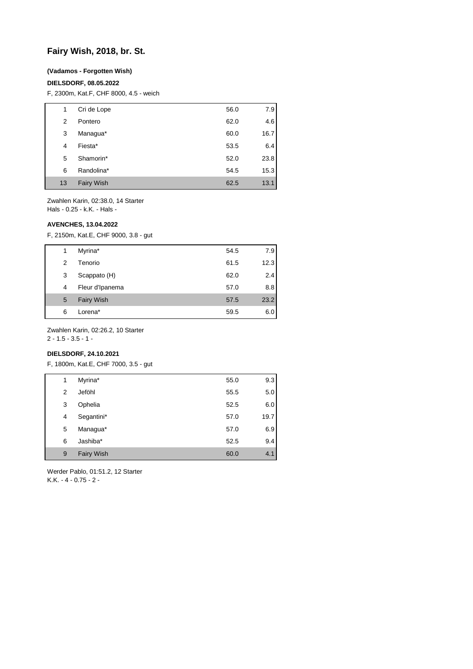# **Fairy Wish, 2018, br. St.**

#### **(Vadamos - Forgotten Wish)**

#### **DIELSDORF, 08.05.2022**

F, 2300m, Kat.F, CHF 8000, 4.5 - weich

| 1  | Cri de Lope       | 56.0 | 7.9  |
|----|-------------------|------|------|
| 2  | Pontero           | 62.0 | 4.6  |
| 3  | Managua*          | 60.0 | 16.7 |
| 4  | Fiesta*           | 53.5 | 6.4  |
| 5  | Shamorin*         | 52.0 | 23.8 |
| 6  | Randolina*        | 54.5 | 15.3 |
| 13 | <b>Fairy Wish</b> | 62.5 | 13.1 |

Zwahlen Karin, 02:38.0, 14 Starter Hals - 0.25 - k.K. - Hals -

**AVENCHES, 13.04.2022**

F, 2150m, Kat.E, CHF 9000, 3.8 - gut

| 1 | Myrina*           | 54.5 | 7.9  |
|---|-------------------|------|------|
| 2 | Tenorio           | 61.5 | 12.3 |
| 3 | Scappato (H)      | 62.0 | 2.4  |
| 4 | Fleur d'Ipanema   | 57.0 | 8.8  |
| 5 | <b>Fairy Wish</b> | 57.5 | 23.2 |
| 6 | Lorena*           | 59.5 | 6.0  |

Zwahlen Karin, 02:26.2, 10 Starter

2 - 1.5 - 3.5 - 1 -

## **DIELSDORF, 24.10.2021**

F, 1800m, Kat.E, CHF 7000, 3.5 - gut

| 1 | Myrina*           | 55.0 | 9.3  |
|---|-------------------|------|------|
| 2 | Jeföhl            | 55.5 | 5.0  |
| 3 | Ophelia           | 52.5 | 6.0  |
| 4 | Segantini*        | 57.0 | 19.7 |
| 5 | Managua*          | 57.0 | 6.9  |
| 6 | Jashiba*          | 52.5 | 9.4  |
| 9 | <b>Fairy Wish</b> | 60.0 | 4.1  |

Werder Pablo, 01:51.2, 12 Starter K.K. - 4 - 0.75 - 2 -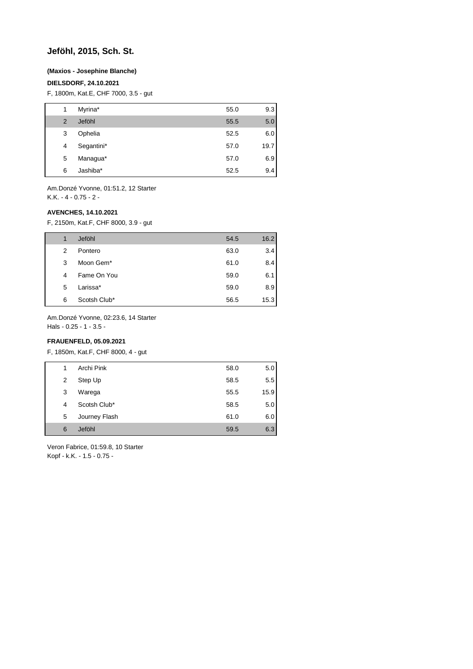### **Jeföhl, 2015, Sch. St.**

#### **(Maxios - Josephine Blanche)**

### **DIELSDORF, 24.10.2021**

F, 1800m, Kat.E, CHF 7000, 3.5 - gut

| 1              | Myrina*    | 55.0 | 9.3  |
|----------------|------------|------|------|
| $\overline{2}$ | Jeföhl     | 55.5 | 5.0  |
| 3              | Ophelia    | 52.5 | 6.0  |
| 4              | Segantini* | 57.0 | 19.7 |
| 5              | Managua*   | 57.0 | 6.9  |
| 6              | Jashiba*   | 52.5 | 9.4  |

Am.Donzé Yvonne, 01:51.2, 12 Starter K.K. - 4 - 0.75 - 2 -

#### **AVENCHES, 14.10.2021**

F, 2150m, Kat.F, CHF 8000, 3.9 - gut

| 1 | Jeföhl                | 54.5 | 16.2 |
|---|-----------------------|------|------|
| 2 | Pontero               | 63.0 | 3.4  |
| 3 | Moon Gem <sup>*</sup> | 61.0 | 8.4  |
| 4 | Fame On You           | 59.0 | 6.1  |
| 5 | Larissa*              | 59.0 | 8.9  |
| 6 | Scotsh Club*          | 56.5 | 15.3 |

Am.Donzé Yvonne, 02:23.6, 14 Starter

Hals - 0.25 - 1 - 3.5 -

### **FRAUENFELD, 05.09.2021**

F, 1850m, Kat.F, CHF 8000, 4 - gut

| 1 | Archi Pink    | 58.0 | 5.0  |
|---|---------------|------|------|
| 2 | Step Up       | 58.5 | 5.5  |
| 3 | Warega        | 55.5 | 15.9 |
| 4 | Scotsh Club*  | 58.5 | 5.0  |
| 5 | Journey Flash | 61.0 | 6.0  |
| 6 | Jeföhl        | 59.5 | 6.3  |

Veron Fabrice, 01:59.8, 10 Starter Kopf - k.K. - 1.5 - 0.75 -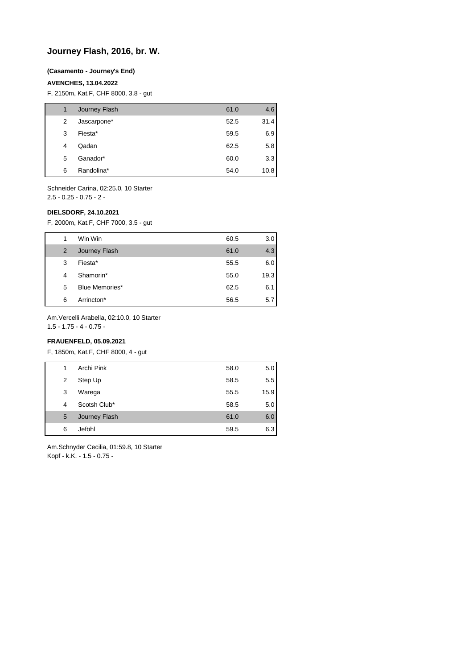# **Journey Flash, 2016, br. W.**

#### **(Casamento - Journey's End)**

### **AVENCHES, 13.04.2022**

F, 2150m, Kat.F, CHF 8000, 3.8 - gut

| 1 | Journey Flash | 61.0 | 4.6  |
|---|---------------|------|------|
| 2 | Jascarpone*   | 52.5 | 31.4 |
| 3 | Fiesta*       | 59.5 | 6.9  |
| 4 | Qadan         | 62.5 | 5.8  |
| 5 | Ganador*      | 60.0 | 3.3  |
| 6 | Randolina*    | 54.0 | 10.8 |

Schneider Carina, 02:25.0, 10 Starter 2.5 - 0.25 - 0.75 - 2 -

#### **DIELSDORF, 24.10.2021**

F, 2000m, Kat.F, CHF 7000, 3.5 - gut

| 1 | Win Win        | 60.5 | 3.0 <sub>1</sub> |
|---|----------------|------|------------------|
| 2 | Journey Flash  | 61.0 | 4.3              |
| 3 | Fiesta*        | 55.5 | 6.0              |
| 4 | Shamorin*      | 55.0 | 19.3             |
| 5 | Blue Memories* | 62.5 | 6.1              |
| 6 | Arrincton*     | 56.5 | 5.7              |

Am.Vercelli Arabella, 02:10.0, 10 Starter

1.5 - 1.75 - 4 - 0.75 -

### **FRAUENFELD, 05.09.2021**

F, 1850m, Kat.F, CHF 8000, 4 - gut

| 1 | Archi Pink    | 58.0 | 5.0  |
|---|---------------|------|------|
| 2 | Step Up       | 58.5 | 5.5  |
| 3 | Warega        | 55.5 | 15.9 |
| 4 | Scotsh Club*  | 58.5 | 5.0  |
| 5 | Journey Flash | 61.0 | 6.0  |
| 6 | Jeföhl        | 59.5 | 6.3  |

Am.Schnyder Cecilia, 01:59.8, 10 Starter Kopf - k.K. - 1.5 - 0.75 -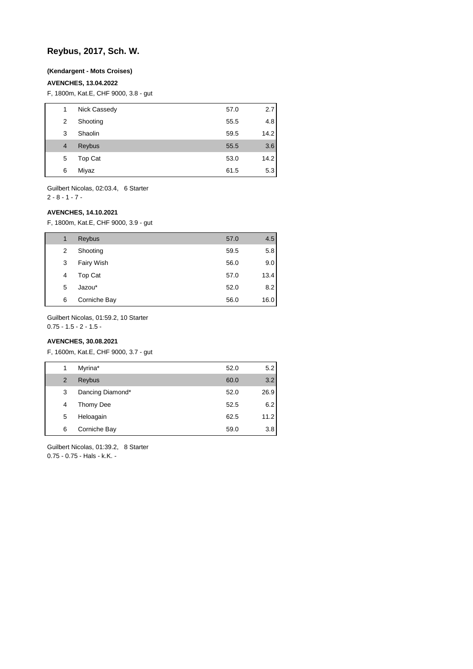# **Reybus, 2017, Sch. W.**

#### **(Kendargent - Mots Croises)**

### **AVENCHES, 13.04.2022**

F, 1800m, Kat.E, CHF 9000, 3.8 - gut

| 1 | Nick Cassedy | 57.0 | 2.7  |
|---|--------------|------|------|
| 2 | Shooting     | 55.5 | 4.8  |
| 3 | Shaolin      | 59.5 | 14.2 |
| 4 | Reybus       | 55.5 | 3.6  |
| 5 | Top Cat      | 53.0 | 14.2 |
| 6 | Miyaz        | 61.5 | 5.3  |
|   |              |      |      |

Guilbert Nicolas, 02:03.4, 6 Starter 2 - 8 - 1 - 7 -

### **AVENCHES, 14.10.2021**

F, 1800m, Kat.E, CHF 9000, 3.9 - gut

| 1 | Reybus       | 57.0 | 4.5  |
|---|--------------|------|------|
| 2 | Shooting     | 59.5 | 5.8  |
| 3 | Fairy Wish   | 56.0 | 9.0  |
| 4 | Top Cat      | 57.0 | 13.4 |
| 5 | Jazou*       | 52.0 | 8.2  |
| 6 | Corniche Bay | 56.0 | 16.0 |

Guilbert Nicolas, 01:59.2, 10 Starter

 $0.75 - 1.5 - 2 - 1.5 -$ 

### **AVENCHES, 30.08.2021**

F, 1600m, Kat.E, CHF 9000, 3.7 - gut

| 1 | Myrina*          | 52.0 | 5.2  |
|---|------------------|------|------|
| 2 | Reybus           | 60.0 | 3.2  |
| 3 | Dancing Diamond* | 52.0 | 26.9 |
| 4 | Thomy Dee        | 52.5 | 6.2  |
| 5 | Heloagain        | 62.5 | 11.2 |
| 6 | Corniche Bay     | 59.0 | 3.8  |
|   |                  |      |      |

Guilbert Nicolas, 01:39.2, 8 Starter 0.75 - 0.75 - Hals - k.K. -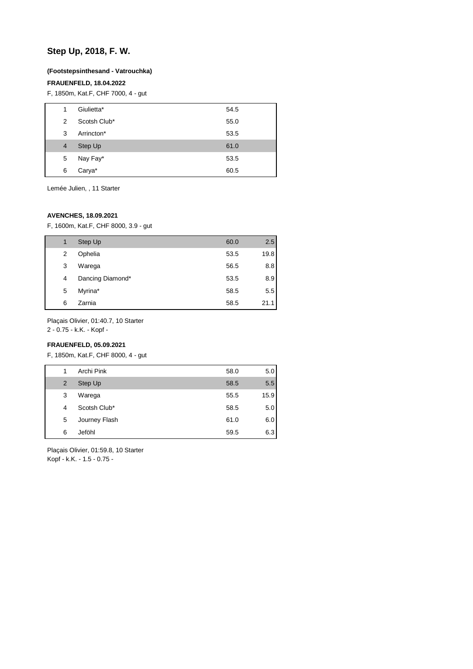# **Step Up, 2018, F. W.**

#### **(Footstepsinthesand - Vatrouchka)**

### **FRAUENFELD, 18.04.2022**

F, 1850m, Kat.F, CHF 7000, 4 - gut

| 1              | Giulietta*   | 54.5 |
|----------------|--------------|------|
| 2              | Scotsh Club* | 55.0 |
| 3              | Arrincton*   | 53.5 |
| $\overline{4}$ | Step Up      | 61.0 |
| 5              | Nay Fay*     | 53.5 |
| 6              | Carya*       | 60.5 |

Lemée Julien, , 11 Starter

### **AVENCHES, 18.09.2021**

F, 1600m, Kat.F, CHF 8000, 3.9 - gut

| 1 | Step Up          | 60.0 | 2.5  |
|---|------------------|------|------|
| 2 | Ophelia          | 53.5 | 19.8 |
| 3 | Warega           | 56.5 | 8.8  |
| 4 | Dancing Diamond* | 53.5 | 8.9  |
| 5 | Myrina*          | 58.5 | 5.5  |
| 6 | Zarnia           | 58.5 | 21.1 |

Plaçais Olivier, 01:40.7, 10 Starter

2 - 0.75 - k.K. - Kopf -

### **FRAUENFELD, 05.09.2021**

F, 1850m, Kat.F, CHF 8000, 4 - gut

| 1 | Archi Pink    | 58.0 | 5.0  |
|---|---------------|------|------|
| 2 | Step Up       | 58.5 | 5.5  |
| 3 | Warega        | 55.5 | 15.9 |
| 4 | Scotsh Club*  | 58.5 | 5.0  |
| 5 | Journey Flash | 61.0 | 6.0  |
| 6 | Jeföhl        | 59.5 | 6.3  |

Plaçais Olivier, 01:59.8, 10 Starter Kopf - k.K. - 1.5 - 0.75 -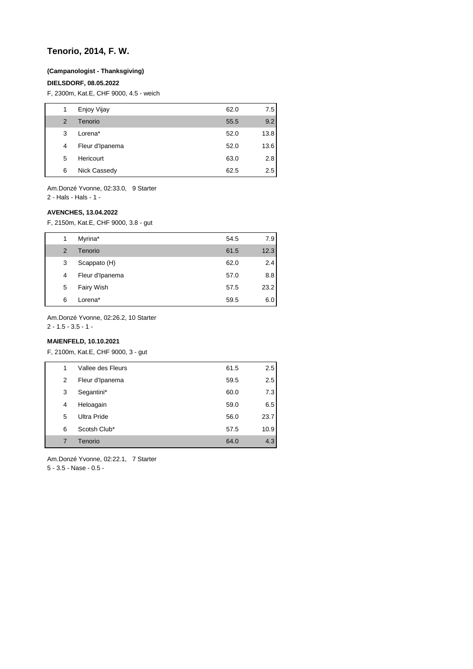# **Tenorio, 2014, F. W.**

#### **(Campanologist - Thanksgiving)**

#### **DIELSDORF, 08.05.2022**

F, 2300m, Kat.E, CHF 9000, 4.5 - weich

| 1 | Enjoy Vijay     | 62.0 | 7.5  |
|---|-----------------|------|------|
| 2 | Tenorio         | 55.5 | 9.2  |
| 3 | Lorena*         | 52.0 | 13.8 |
| 4 | Fleur d'Ipanema | 52.0 | 13.6 |
| 5 | Hericourt       | 63.0 | 2.8  |
| 6 | Nick Cassedy    | 62.5 | 2.5  |

Am.Donzé Yvonne, 02:33.0, 9 Starter 2 - Hals - Hals - 1 -

#### **AVENCHES, 13.04.2022**

F, 2150m, Kat.E, CHF 9000, 3.8 - gut

| 1 | Myrina*         | 54.5 | 7.9  |
|---|-----------------|------|------|
| 2 | Tenorio         | 61.5 | 12.3 |
| 3 | Scappato (H)    | 62.0 | 2.4  |
| 4 | Fleur d'Ipanema | 57.0 | 8.8  |
| 5 | Fairy Wish      | 57.5 | 23.2 |
| 6 | Lorena*         | 59.5 | 6.01 |

Am.Donzé Yvonne, 02:26.2, 10 Starter

 $2 - 1.5 - 3.5 - 1 -$ 

## **MAIENFELD, 10.10.2021**

F, 2100m, Kat.E, CHF 9000, 3 - gut

| 1              | Vallee des Fleurs  | 61.5 | 2.5  |
|----------------|--------------------|------|------|
| 2              | Fleur d'Ipanema    | 59.5 | 2.5  |
| 3              | Segantini*         | 60.0 | 7.3  |
| 4              | Heloagain          | 59.0 | 6.5  |
| 5              | <b>Ultra Pride</b> | 56.0 | 23.7 |
| 6              | Scotsh Club*       | 57.5 | 10.9 |
| $\overline{7}$ | Tenorio            | 64.0 | 4.3  |
|                |                    |      |      |

Am.Donzé Yvonne, 02:22.1, 7 Starter 5 - 3.5 - Nase - 0.5 -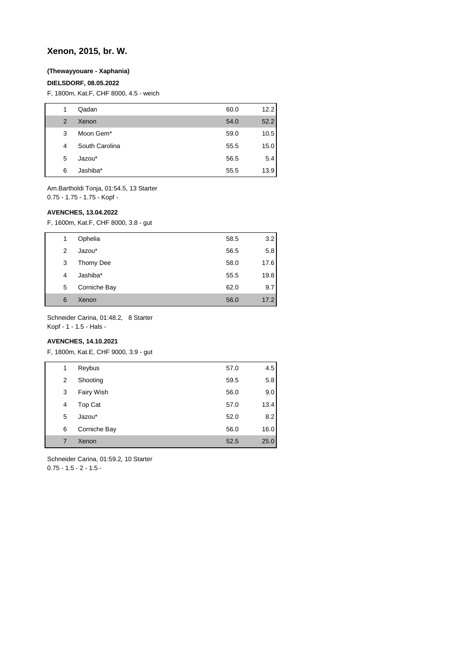# **Xenon, 2015, br. W.**

### **(Thewayyouare - Xaphania)**

#### **DIELSDORF, 08.05.2022**

F, 1800m, Kat.F, CHF 8000, 4.5 - weich

| 1 | Qadan                 | 60.0 | 12.2 |
|---|-----------------------|------|------|
| 2 | Xenon                 | 54.0 | 52.2 |
| 3 | Moon Gem <sup>*</sup> | 59.0 | 10.5 |
| 4 | South Carolina        | 55.5 | 15.0 |
| 5 | Jazou*                | 56.5 | 5.4  |
| 6 | Jashiba*              | 55.5 | 13.9 |

Am.Bartholdi Tonja, 01:54.5, 13 Starter 0.75 - 1.75 - 1.75 - Kopf -

### **AVENCHES, 13.04.2022**

F, 1600m, Kat.F, CHF 8000, 3.8 - gut

| 1 | Ophelia      | 58.5 | 3.2  |
|---|--------------|------|------|
| 2 | Jazou*       | 56.5 | 5.8  |
| 3 | Thomy Dee    | 58.0 | 17.6 |
| 4 | Jashiba*     | 55.5 | 19.8 |
| 5 | Corniche Bay | 62.0 | 9.7  |
| 6 | Xenon        | 56.0 | 17.2 |

Schneider Carina, 01:48.2, 8 Starter

Kopf - 1 - 1.5 - Hals -

### **AVENCHES, 14.10.2021**

F, 1800m, Kat.E, CHF 9000, 3.9 - gut

| 1 | Reybus       | 57.0 | 4.5  |
|---|--------------|------|------|
| 2 | Shooting     | 59.5 | 5.8  |
| 3 | Fairy Wish   | 56.0 | 9.0  |
| 4 | Top Cat      | 57.0 | 13.4 |
| 5 | Jazou*       | 52.0 | 8.2  |
| 6 | Corniche Bay | 56.0 | 16.0 |
| 7 | Xenon        | 52.5 | 25.0 |
|   |              |      |      |

Schneider Carina, 01:59.2, 10 Starter  $0.75 - 1.5 - 2 - 1.5 -$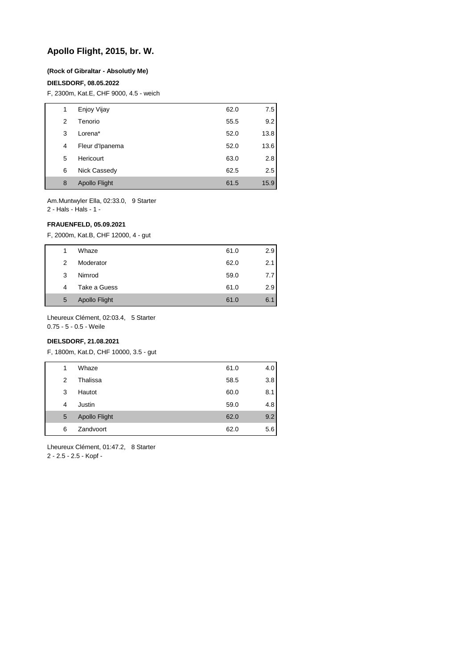# **Apollo Flight, 2015, br. W.**

#### **(Rock of Gibraltar - Absolutly Me)**

#### **DIELSDORF, 08.05.2022**

F, 2300m, Kat.E, CHF 9000, 4.5 - weich

| 1 | Enjoy Vijay          | 62.0 | 7.5  |
|---|----------------------|------|------|
| 2 | Tenorio              | 55.5 | 9.2  |
| 3 | Lorena*              | 52.0 | 13.8 |
| 4 | Fleur d'Ipanema      | 52.0 | 13.6 |
| 5 | Hericourt            | 63.0 | 2.8  |
| 6 | Nick Cassedy         | 62.5 | 2.5  |
| 8 | <b>Apollo Flight</b> | 61.5 | 15.9 |

Am.Muntwyler Ella, 02:33.0, 9 Starter

2 - Hals - Hals - 1 -

### **FRAUENFELD, 05.09.2021**

F, 2000m, Kat.B, CHF 12000, 4 - gut

| 1 | Whaze                | 61.0 | 2.9  |
|---|----------------------|------|------|
| 2 | Moderator            | 62.0 | 2.1  |
| 3 | Nimrod               | 59.0 | 7.71 |
| 4 | Take a Guess         | 61.0 | 2.9  |
| 5 | <b>Apollo Flight</b> | 61.0 | 6.1  |

Lheureux Clément, 02:03.4, 5 Starter

0.75 - 5 - 0.5 - Weile

### **DIELSDORF, 21.08.2021**

F, 1800m, Kat.D, CHF 10000, 3.5 - gut

| 1 | Whaze                | 61.0 | 4.0 |
|---|----------------------|------|-----|
| 2 | Thalissa             | 58.5 | 3.8 |
| 3 | Hautot               | 60.0 | 8.1 |
| 4 | Justin               | 59.0 | 4.8 |
| 5 | <b>Apollo Flight</b> | 62.0 | 9.2 |
| 6 | Zandvoort            | 62.0 | 5.6 |

Lheureux Clément, 01:47.2, 8 Starter 2 - 2.5 - 2.5 - Kopf -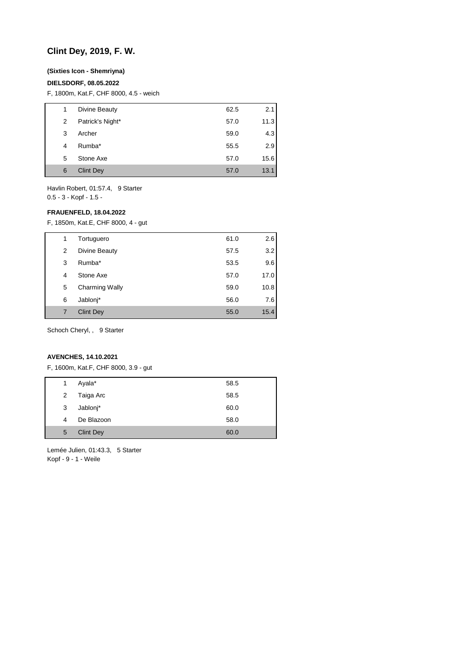# **Clint Dey, 2019, F. W.**

### **(Sixties Icon - Shemriyna)**

#### **DIELSDORF, 08.05.2022**

F, 1800m, Kat.F, CHF 8000, 4.5 - weich

| 1 | Divine Beauty    | 62.5 | 2.1  |
|---|------------------|------|------|
| 2 | Patrick's Night* | 57.0 | 11.3 |
| 3 | Archer           | 59.0 | 4.3  |
| 4 | Rumba*           | 55.5 | 2.9  |
| 5 | Stone Axe        | 57.0 | 15.6 |
| 6 | <b>Clint Dey</b> | 57.0 | 13.1 |

Havlin Robert, 01:57.4, 9 Starter 0.5 - 3 - Kopf - 1.5 -

#### **FRAUENFELD, 18.04.2022**

F, 1850m, Kat.E, CHF 8000, 4 - gut

| 1 | Tortuguero            | 61.0 | 2.6  |
|---|-----------------------|------|------|
| 2 | Divine Beauty         | 57.5 | 3.2  |
| 3 | Rumba*                | 53.5 | 9.6  |
| 4 | Stone Axe             | 57.0 | 17.0 |
| 5 | <b>Charming Wally</b> | 59.0 | 10.8 |
| 6 | Jablonj*              | 56.0 | 7.6  |
| 7 | <b>Clint Dev</b>      | 55.0 | 15.4 |

Schoch Cheryl, , 9 Starter

#### **AVENCHES, 14.10.2021**

F, 1600m, Kat.F, CHF 8000, 3.9 - gut

| 1              | Ayala*           | 58.5 |
|----------------|------------------|------|
| $\overline{2}$ | Taiga Arc        | 58.5 |
| 3              | Jablonj*         | 60.0 |
| 4              | De Blazoon       | 58.0 |
| 5              | <b>Clint Dey</b> | 60.0 |

Lemée Julien, 01:43.3, 5 Starter Kopf - 9 - 1 - Weile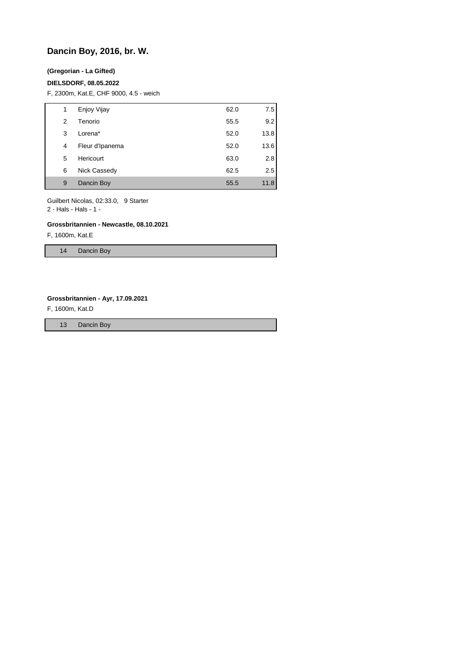# **Dancin Boy, 2016, br. W.**

#### **(Gregorian - La Gifted)**

#### **DIELSDORF, 08.05.2022**

F, 2300m, Kat.E, CHF 9000, 4.5 - weich

| 1 | Enjoy Vijay     | 62.0 | 7.5  |
|---|-----------------|------|------|
| 2 | Tenorio         | 55.5 | 9.2  |
| 3 | Lorena*         | 52.0 | 13.8 |
| 4 | Fleur d'Ipanema | 52.0 | 13.6 |
| 5 | Hericourt       | 63.0 | 2.8  |
| 6 | Nick Cassedy    | 62.5 | 2.5  |
| 9 | Dancin Boy      | 55.5 | 11.8 |

Guilbert Nicolas, 02:33.0, 9 Starter

2 - Hals - Hals - 1 -

#### **Grossbritannien - Newcastle, 08.10.2021**

F, 1600m, Kat.E

14 Dancin Boy

#### **Grossbritannien - Ayr, 17.09.2021**

F, 1600m, Kat.D

13 Dancin Boy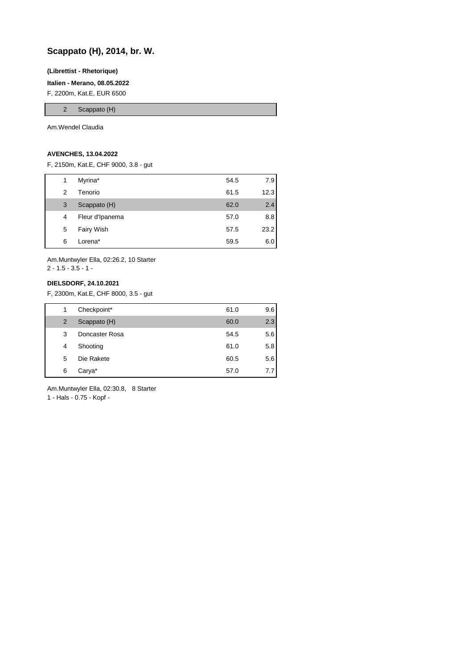# **Scappato (H), 2014, br. W.**

#### **(Librettist - Rhetorique)**

**Italien - Merano, 08.05.2022**

F, 2200m, Kat.E, EUR 6500

2 Scappato (H)

Am.Wendel Claudia

#### **AVENCHES, 13.04.2022**

F, 2150m, Kat.E, CHF 9000, 3.8 - gut

| 1 | Myrina*         | 54.5 | 7.9  |
|---|-----------------|------|------|
| 2 | Tenorio         | 61.5 | 12.3 |
| 3 | Scappato (H)    | 62.0 | 2.4  |
| 4 | Fleur d'Ipanema | 57.0 | 8.8  |
| 5 | Fairy Wish      | 57.5 | 23.2 |
| 6 | Lorena*         | 59.5 | 6.0  |

Am.Muntwyler Ella, 02:26.2, 10 Starter  $2 - 1.5 - 3.5 - 1 -$ 

#### **DIELSDORF, 24.10.2021**

F, 2300m, Kat.E, CHF 8000, 3.5 - gut

| 1 | Checkpoint*    | 61.0 | 9.6 |
|---|----------------|------|-----|
| 2 | Scappato (H)   | 60.0 | 2.3 |
| 3 | Doncaster Rosa | 54.5 | 5.6 |
| 4 | Shooting       | 61.0 | 5.8 |
| 5 | Die Rakete     | 60.5 | 5.6 |
| 6 | Carya*         | 57.0 | 77  |

Am.Muntwyler Ella, 02:30.8, 8 Starter

1 - Hals - 0.75 - Kopf -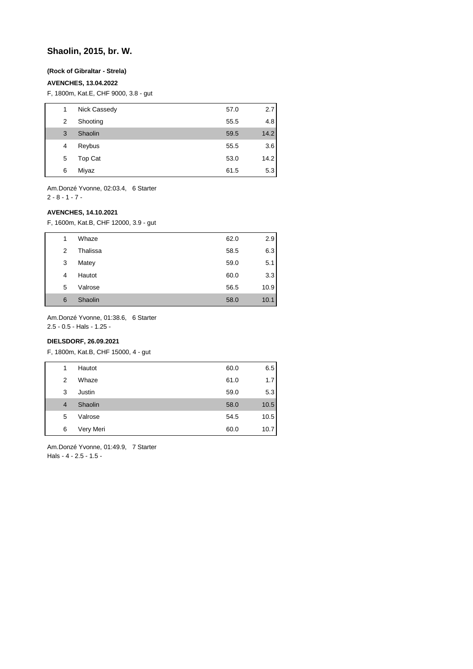# **Shaolin, 2015, br. W.**

### **(Rock of Gibraltar - Strela)**

#### **AVENCHES, 13.04.2022**

F, 1800m, Kat.E, CHF 9000, 3.8 - gut

| 1 | Nick Cassedy | 57.0 | 2.7  |
|---|--------------|------|------|
| 2 | Shooting     | 55.5 | 4.8  |
| 3 | Shaolin      | 59.5 | 14.2 |
| 4 | Reybus       | 55.5 | 3.6  |
| 5 | Top Cat      | 53.0 | 14.2 |
| 6 | Miyaz        | 61.5 | 5.3  |

Am.Donzé Yvonne, 02:03.4, 6 Starter 2 - 8 - 1 - 7 -

#### **AVENCHES, 14.10.2021**

F, 1600m, Kat.B, CHF 12000, 3.9 - gut

| 1 | Whaze    | 62.0 | 2.9  |
|---|----------|------|------|
| 2 | Thalissa | 58.5 | 6.3  |
| 3 | Matey    | 59.0 | 5.1  |
| 4 | Hautot   | 60.0 | 3.3  |
| 5 | Valrose  | 56.5 | 10.9 |
| 6 | Shaolin  | 58.0 | 10.1 |

Am.Donzé Yvonne, 01:38.6, 6 Starter

2.5 - 0.5 - Hals - 1.25 -

### **DIELSDORF, 26.09.2021**

F, 1800m, Kat.B, CHF 15000, 4 - gut

| 1              | Hautot    | 60.0 | 6.5  |
|----------------|-----------|------|------|
| 2              | Whaze     | 61.0 | 1.7  |
| 3              | Justin    | 59.0 | 5.3  |
| $\overline{4}$ | Shaolin   | 58.0 | 10.5 |
| 5              | Valrose   | 54.5 | 10.5 |
| 6              | Very Meri | 60.0 | 10.7 |

Am.Donzé Yvonne, 01:49.9, 7 Starter Hals - 4 - 2.5 - 1.5 -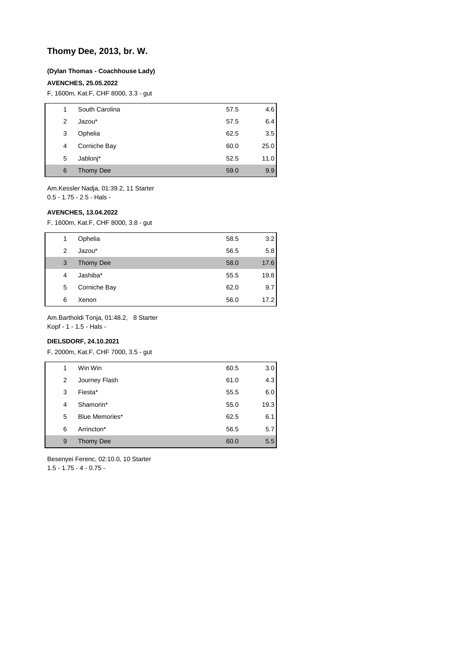# **Thomy Dee, 2013, br. W.**

#### **(Dylan Thomas - Coachhouse Lady)**

#### **AVENCHES, 25.05.2022**

F, 1600m, Kat.F, CHF 8000, 3.3 - gut

| 1 | South Carolina   | 57.5 | 4.6  |
|---|------------------|------|------|
| 2 | Jazou*           | 57.5 | 6.4  |
| 3 | Ophelia          | 62.5 | 3.5  |
| 4 | Corniche Bay     | 60.0 | 25.0 |
| 5 | Jablonj*         | 52.5 | 11.0 |
| 6 | <b>Thomy Dee</b> | 59.0 | 9.9  |

Am.Kessler Nadja, 01:39.2, 11 Starter 0.5 - 1.75 - 2.5 - Hals -

#### **AVENCHES, 13.04.2022**

F, 1600m, Kat.F, CHF 8000, 3.8 - gut

| 1 | Ophelia          | 58.5 | 3.2  |
|---|------------------|------|------|
| 2 | Jazou*           | 56.5 | 5.8  |
| 3 | <b>Thomy Dee</b> | 58.0 | 17.6 |
| 4 | Jashiba*         | 55.5 | 19.8 |
| 5 | Corniche Bay     | 62.0 | 9.7  |
| 6 | Xenon            | 56.0 | 17.2 |

Am.Bartholdi Tonja, 01:48.2, 8 Starter

Kopf - 1 - 1.5 - Hals -

### **DIELSDORF, 24.10.2021**

F, 2000m, Kat.F, CHF 7000, 3.5 - gut

| 1 | Win Win          | 60.5 | 3.0  |
|---|------------------|------|------|
| 2 | Journey Flash    | 61.0 | 4.3  |
| 3 | Fiesta*          | 55.5 | 6.0  |
| 4 | Shamorin*        | 55.0 | 19.3 |
| 5 | Blue Memories*   | 62.5 | 6.1  |
| 6 | Arrincton*       | 56.5 | 5.7  |
| 9 | <b>Thomy Dee</b> | 60.0 | 5.5  |
|   |                  |      |      |

Besenyei Ferenc, 02:10.0, 10 Starter

1.5 - 1.75 - 4 - 0.75 -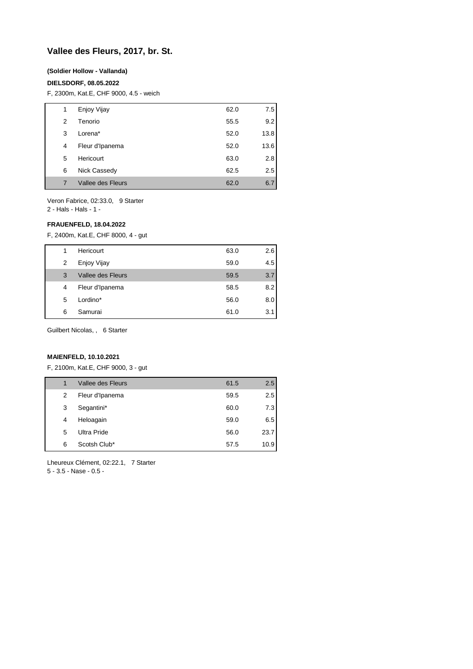# **Vallee des Fleurs, 2017, br. St.**

#### **(Soldier Hollow - Vallanda)**

#### **DIELSDORF, 08.05.2022**

F, 2300m, Kat.E, CHF 9000, 4.5 - weich

| 1 | Enjoy Vijay       | 62.0 | 7.5  |
|---|-------------------|------|------|
| 2 | Tenorio           | 55.5 | 9.2  |
| 3 | Lorena*           | 52.0 | 13.8 |
| 4 | Fleur d'Ipanema   | 52.0 | 13.6 |
| 5 | Hericourt         | 63.0 | 2.8  |
| 6 | Nick Cassedy      | 62.5 | 2.5  |
| 7 | Vallee des Fleurs | 62.0 | 6.7  |
|   |                   |      |      |

Veron Fabrice, 02:33.0, 9 Starter

2 - Hals - Hals - 1 -

#### **FRAUENFELD, 18.04.2022**

F, 2400m, Kat.E, CHF 8000, 4 - gut

| 1 | Hericourt         | 63.0 | 2.6              |
|---|-------------------|------|------------------|
| 2 | Enjoy Vijay       | 59.0 | 4.5              |
| 3 | Vallee des Fleurs | 59.5 | 3.7              |
| 4 | Fleur d'Ipanema   | 58.5 | 8.2              |
| 5 | Lordino*          | 56.0 | 8.0 <sub>1</sub> |
| 6 | Samurai           | 61.0 | 3.1              |

Guilbert Nicolas, , 6 Starter

#### **MAIENFELD, 10.10.2021**

F, 2100m, Kat.E, CHF 9000, 3 - gut

| 1 | Vallee des Fleurs | 61.5 | 2.5  |
|---|-------------------|------|------|
| 2 | Fleur d'Ipanema   | 59.5 | 2.5  |
| 3 | Segantini*        | 60.0 | 7.3  |
| 4 | Heloagain         | 59.0 | 6.5  |
| 5 | Ultra Pride       | 56.0 | 23.7 |
| 6 | Scotsh Club*      | 57.5 | 10.9 |
|   |                   |      |      |

Lheureux Clément, 02:22.1, 7 Starter

5 - 3.5 - Nase - 0.5 -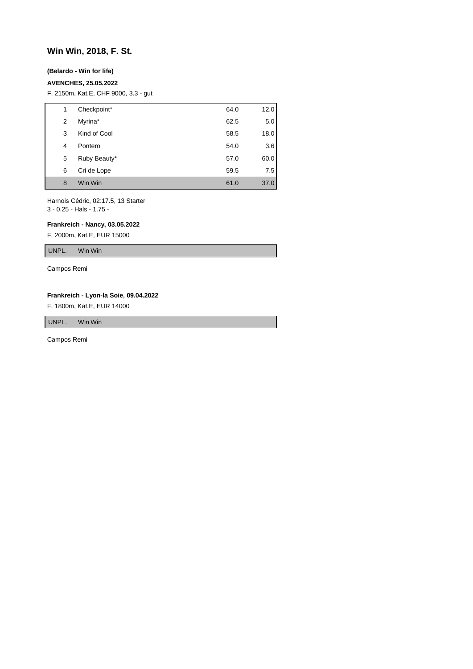# **Win Win, 2018, F. St.**

#### **(Belardo - Win for life)**

#### **AVENCHES, 25.05.2022**

F, 2150m, Kat.E, CHF 9000, 3.3 - gut

| 1 | Checkpoint*  | 64.0 | 12.0 |
|---|--------------|------|------|
| 2 | Myrina*      | 62.5 | 5.0  |
| 3 | Kind of Cool | 58.5 | 18.0 |
| 4 | Pontero      | 54.0 | 3.6  |
| 5 | Ruby Beauty* | 57.0 | 60.0 |
| 6 | Cri de Lope  | 59.5 | 7.5  |
| 8 | Win Win      | 61.0 | 37.0 |

Harnois Cédric, 02:17.5, 13 Starter 3 - 0.25 - Hals - 1.75 -

#### **Frankreich - Nancy, 03.05.2022**

F, 2000m, Kat.E, EUR 15000

UNPL. Win Win

Campos Remi

#### **Frankreich - Lyon-la Soie, 09.04.2022**

F, 1800m, Kat.E, EUR 14000

UNPL. Win Win

Campos Remi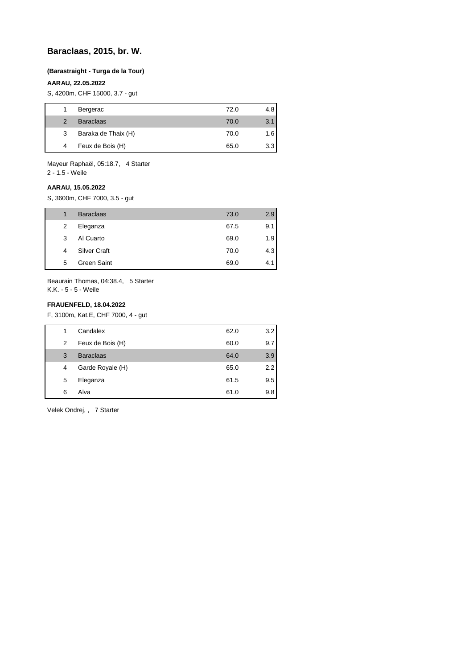# **Baraclaas, 2015, br. W.**

#### **(Barastraight - Turga de la Tour)**

### **AARAU, 22.05.2022**

S, 4200m, CHF 15000, 3.7 - gut

|               | Bergerac            | 72.0 | 4.8 |
|---------------|---------------------|------|-----|
| $\mathcal{P}$ | <b>Baraclaas</b>    | 70.0 | 3.1 |
| 3             | Baraka de Thaix (H) | 70.0 | 1.6 |
| 4             | Feux de Bois (H)    | 65.0 | 3.3 |

Mayeur Raphaël, 05:18.7, 4 Starter 2 - 1.5 - Weile

# **AARAU, 15.05.2022**

S, 3600m, CHF 7000, 3.5 - gut

| 1 | <b>Baraclaas</b>    | 73.0 | 2.9 |
|---|---------------------|------|-----|
| 2 | Eleganza            | 67.5 | 9.1 |
| 3 | Al Cuarto           | 69.0 | 1.9 |
| 4 | <b>Silver Craft</b> | 70.0 | 4.3 |
| 5 | Green Saint         | 69.0 | 4.1 |

Beaurain Thomas, 04:38.4, 5 Starter K.K. - 5 - 5 - Weile

### **FRAUENFELD, 18.04.2022**

F, 3100m, Kat.E, CHF 7000, 4 - gut

| 1 | Candalex         | 62.0 | 3.2 |
|---|------------------|------|-----|
| 2 | Feux de Bois (H) | 60.0 | 9.7 |
| 3 | <b>Baraclaas</b> | 64.0 | 3.9 |
| 4 | Garde Royale (H) | 65.0 | 2.2 |
| 5 | Eleganza         | 61.5 | 9.5 |
| 6 | Alva             | 61.0 | 9.8 |
|   |                  |      |     |

Velek Ondrej, , 7 Starter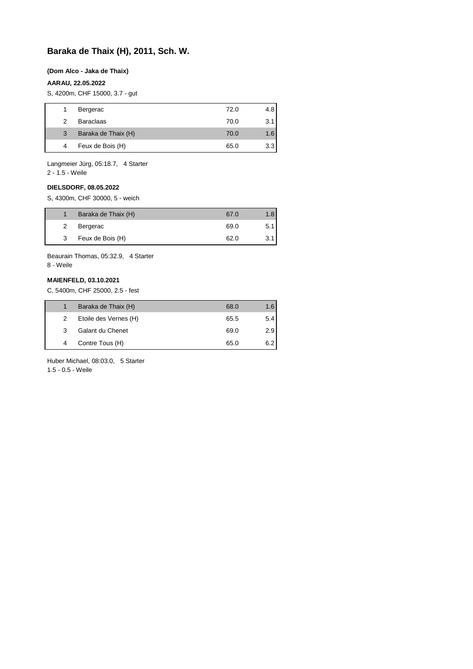# **Baraka de Thaix (H), 2011, Sch. W.**

#### **(Dom Alco - Jaka de Thaix)**

### **AARAU, 22.05.2022**

S, 4200m, CHF 15000, 3.7 - gut

|   | Bergerac            | 72.0 | 4.81 |
|---|---------------------|------|------|
| 2 | <b>Baraclaas</b>    | 70.0 | 3.11 |
| 3 | Baraka de Thaix (H) | 70.0 | 1.6  |
| 4 | Feux de Bois (H)    | 65.0 | 3.31 |

Langmeier Jürg, 05:18.7, 4 Starter

2 - 1.5 - Weile

#### **DIELSDORF, 08.05.2022**

S, 4300m, CHF 30000, 5 - weich

|   | Baraka de Thaix (H) | 67.0 | 1.8  |
|---|---------------------|------|------|
|   | Bergerac            | 69.0 | 5.11 |
| 3 | Feux de Bois (H)    | 62.0 | 3.11 |

Beaurain Thomas, 05:32.9, 4 Starter 8 - Weile

#### **MAIENFELD, 03.10.2021**

C, 5400m, CHF 25000, 2.5 - fest

|   | Baraka de Thaix (H)   | 68.0 | 1.6 |
|---|-----------------------|------|-----|
| 2 | Etoile des Vernes (H) | 65.5 | 5.4 |
| 3 | Galant du Chenet      | 69.0 | 2.9 |
|   | Contre Tous (H)       | 65.0 | 6.2 |

Huber Michael, 08:03.0, 5 Starter

1.5 - 0.5 - Weile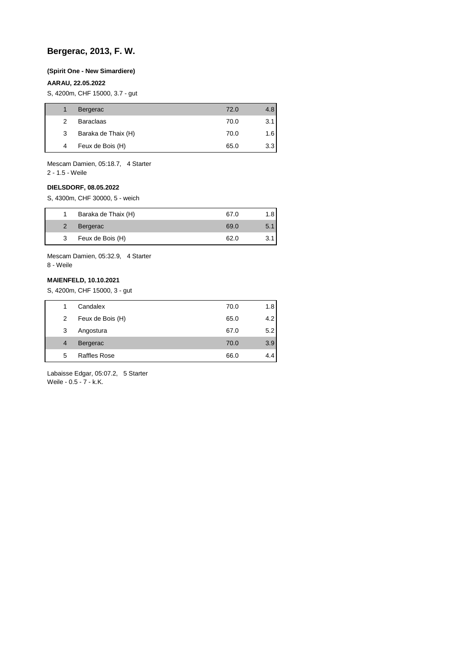# **Bergerac, 2013, F. W.**

#### **(Spirit One - New Simardiere)**

#### **AARAU, 22.05.2022**

S, 4200m, CHF 15000, 3.7 - gut

|   | <b>Bergerac</b>     | 72.0 | 4.8 |
|---|---------------------|------|-----|
| 2 | <b>Baraclaas</b>    | 70.0 | 3.1 |
| 3 | Baraka de Thaix (H) | 70.0 | 1.6 |
| 4 | Feux de Bois (H)    | 65.0 | 3.3 |

Mescam Damien, 05:18.7, 4 Starter

2 - 1.5 - Weile

#### **DIELSDORF, 08.05.2022**

S, 4300m, CHF 30000, 5 - weich

|   | Baraka de Thaix (H) | 67.0 | 1.8 |
|---|---------------------|------|-----|
| 2 | Bergerac            | 69.0 | 5.1 |
| 3 | Feux de Bois (H)    | 62.0 | 3.1 |

Mescam Damien, 05:32.9, 4 Starter 8 - Weile

### **MAIENFELD, 10.10.2021**

S, 4200m, CHF 15000, 3 - gut

|                | Candalex            | 70.0 | 1.8 |
|----------------|---------------------|------|-----|
| 2              | Feux de Bois (H)    | 65.0 | 4.2 |
| 3              | Angostura           | 67.0 | 5.2 |
| $\overline{4}$ | Bergerac            | 70.0 | 3.9 |
| 5              | <b>Raffles Rose</b> | 66.0 | 4.4 |

Labaisse Edgar, 05:07.2, 5 Starter Weile - 0.5 - 7 - k.K.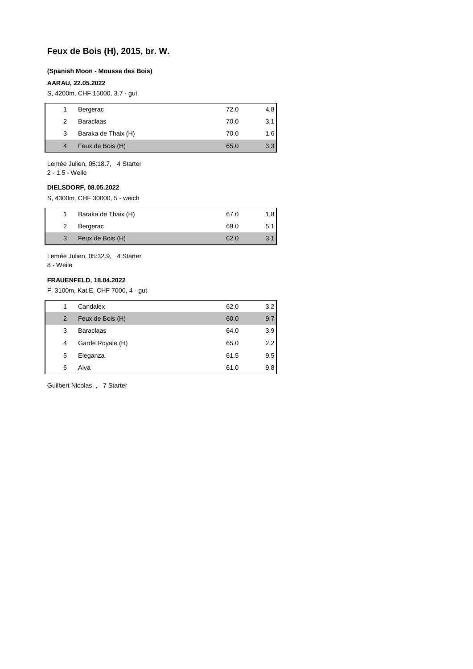# **Feux de Bois (H), 2015, br. W.**

#### **(Spanish Moon - Mousse des Bois)**

#### **AARAU, 22.05.2022**

S, 4200m, CHF 15000, 3.7 - gut

| 1 | Bergerac            | 72.0 | 4.8 |
|---|---------------------|------|-----|
| 2 | <b>Baraclaas</b>    | 70.0 | 3.1 |
| 3 | Baraka de Thaix (H) | 70.0 | 1.6 |
| 4 | Feux de Bois (H)    | 65.0 | 3.3 |

Lemée Julien, 05:18.7, 4 Starter

2 - 1.5 - Weile

### **DIELSDORF, 08.05.2022**

S, 4300m, CHF 30000, 5 - weich

| Baraka de Thaix (H)<br>67.0   |      |
|-------------------------------|------|
|                               |      |
| Bergerac<br>69.0              | 5.11 |
| Feux de Bois (H)<br>3<br>62.0 |      |

Lemée Julien, 05:32.9, 4 Starter 8 - Weile

#### **FRAUENFELD, 18.04.2022**

F, 3100m, Kat.E, CHF 7000, 4 - gut

| 1 | Candalex         | 62.0 | $3.2^{\circ}$ |
|---|------------------|------|---------------|
| 2 | Feux de Bois (H) | 60.0 | 9.7           |
| 3 | <b>Baraclaas</b> | 64.0 | 3.9           |
| 4 | Garde Royale (H) | 65.0 | $2.2^{\circ}$ |
| 5 | Eleganza         | 61.5 | 9.5           |
| 6 | Alva             | 61.0 | 9.8           |

Guilbert Nicolas, , 7 Starter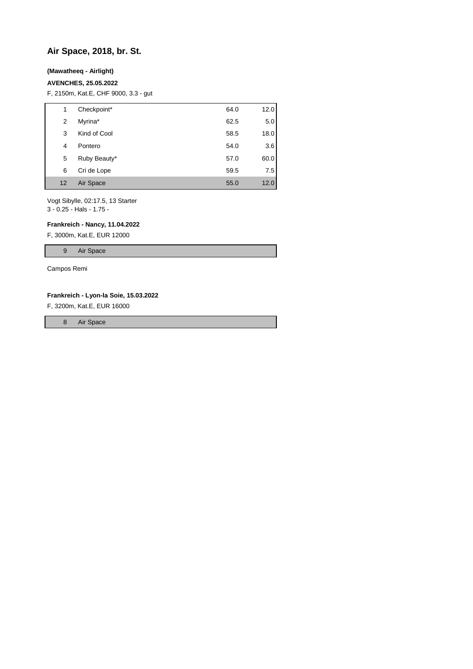# **Air Space, 2018, br. St.**

### **(Mawatheeq - Airlight)**

#### **AVENCHES, 25.05.2022**

F, 2150m, Kat.E, CHF 9000, 3.3 - gut

| 1  | Checkpoint*  | 64.0 | 12.0 |
|----|--------------|------|------|
| 2  | Myrina*      | 62.5 | 5.0  |
| 3  | Kind of Cool | 58.5 | 18.0 |
| 4  | Pontero      | 54.0 | 3.6  |
| 5  | Ruby Beauty* | 57.0 | 60.0 |
| 6  | Cri de Lope  | 59.5 | 7.5  |
| 12 | Air Space    | 55.0 | 12.0 |

Vogt Sibylle, 02:17.5, 13 Starter 3 - 0.25 - Hals - 1.75 -

#### **Frankreich - Nancy, 11.04.2022**

F, 3000m, Kat.E, EUR 12000

9 Air Space

Campos Remi

#### **Frankreich - Lyon-la Soie, 15.03.2022**

F, 3200m, Kat.E, EUR 16000

8 Air Space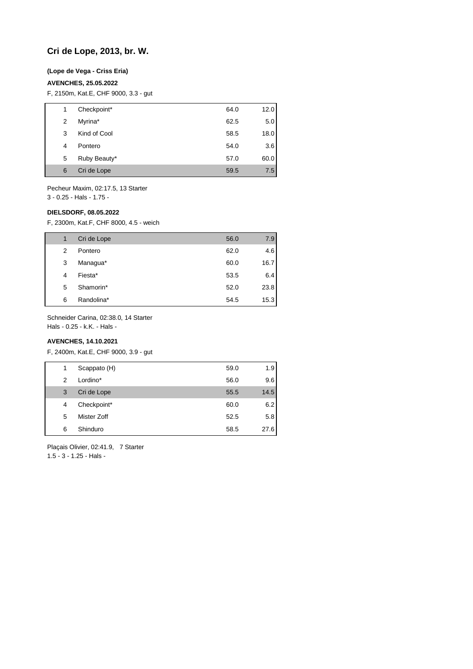# **Cri de Lope, 2013, br. W.**

### **(Lope de Vega - Criss Eria)**

### **AVENCHES, 25.05.2022**

F, 2150m, Kat.E, CHF 9000, 3.3 - gut

| 1 | Checkpoint*  | 64.0 | 12.0 |
|---|--------------|------|------|
| 2 | Myrina*      | 62.5 | 5.0  |
| 3 | Kind of Cool | 58.5 | 18.0 |
| 4 | Pontero      | 54.0 | 3.6  |
| 5 | Ruby Beauty* | 57.0 | 60.0 |
| 6 | Cri de Lope  | 59.5 | 7.5  |

Pecheur Maxim, 02:17.5, 13 Starter

3 - 0.25 - Hals - 1.75 -

#### **DIELSDORF, 08.05.2022**

F, 2300m, Kat.F, CHF 8000, 4.5 - weich

|   | Cri de Lope | 56.0 | 7.9  |
|---|-------------|------|------|
| 2 | Pontero     | 62.0 | 4.6  |
| 3 | Managua*    | 60.0 | 16.7 |
| 4 | Fiesta*     | 53.5 | 6.4  |
| 5 | Shamorin*   | 52.0 | 23.8 |
| 6 | Randolina*  | 54.5 | 15.3 |

Schneider Carina, 02:38.0, 14 Starter

Hals - 0.25 - k.K. - Hals -

### **AVENCHES, 14.10.2021**

F, 2400m, Kat.E, CHF 9000, 3.9 - gut

| 1 | Scappato (H) | 59.0 | 1.9  |
|---|--------------|------|------|
| 2 | Lordino*     | 56.0 | 9.6  |
| 3 | Cri de Lope  | 55.5 | 14.5 |
| 4 | Checkpoint*  | 60.0 | 6.2  |
| 5 | Mister Zoff  | 52.5 | 5.8  |
| 6 | Shinduro     | 58.5 | 27.6 |

Plaçais Olivier, 02:41.9, 7 Starter 1.5 - 3 - 1.25 - Hals -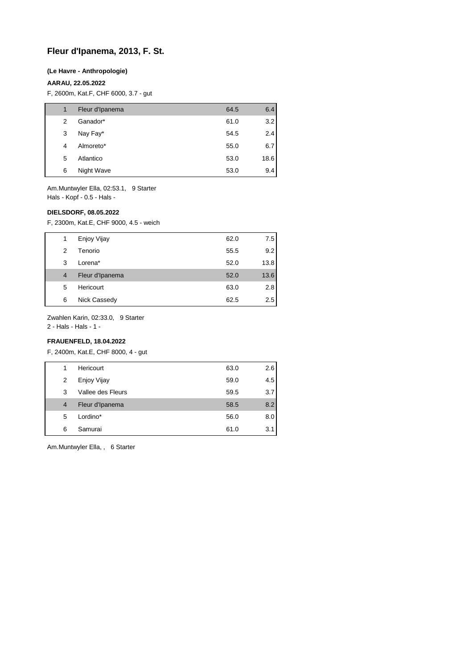# **Fleur d'Ipanema, 2013, F. St.**

#### **(Le Havre - Anthropologie)**

### **AARAU, 22.05.2022**

F, 2600m, Kat.F, CHF 6000, 3.7 - gut

| 1 | Fleur d'Ipanema | 64.5 | 6.4  |
|---|-----------------|------|------|
| 2 | Ganador*        | 61.0 | 3.2  |
| 3 | Nay Fay*        | 54.5 | 2.4  |
| 4 | Almoreto*       | 55.0 | 6.7  |
| 5 | Atlantico       | 53.0 | 18.6 |
| 6 | Night Wave      | 53.0 | 9.4  |

Am.Muntwyler Ella, 02:53.1, 9 Starter Hals - Kopf - 0.5 - Hals -

#### **DIELSDORF, 08.05.2022**

F, 2300m, Kat.E, CHF 9000, 4.5 - weich

|                | Enjoy Vijay     | 62.0 | 7.5  |
|----------------|-----------------|------|------|
| 2              | Tenorio         | 55.5 | 9.2  |
| 3              | Lorena*         | 52.0 | 13.8 |
| $\overline{4}$ | Fleur d'Ipanema | 52.0 | 13.6 |
| 5              | Hericourt       | 63.0 | 2.8  |
| 6              | Nick Cassedy    | 62.5 | 2.5  |

Zwahlen Karin, 02:33.0, 9 Starter

2 - Hals - Hals - 1 -

### **FRAUENFELD, 18.04.2022**

F, 2400m, Kat.E, CHF 8000, 4 - gut

| 1 | Hericourt         | 63.0 | 2.6 |
|---|-------------------|------|-----|
| 2 | Enjoy Vijay       | 59.0 | 4.5 |
| 3 | Vallee des Fleurs | 59.5 | 3.7 |
| 4 | Fleur d'Ipanema   | 58.5 | 8.2 |
| 5 | Lordino*          | 56.0 | 8.0 |
| 6 | Samurai           | 61.0 | 3.1 |

Am.Muntwyler Ella, , 6 Starter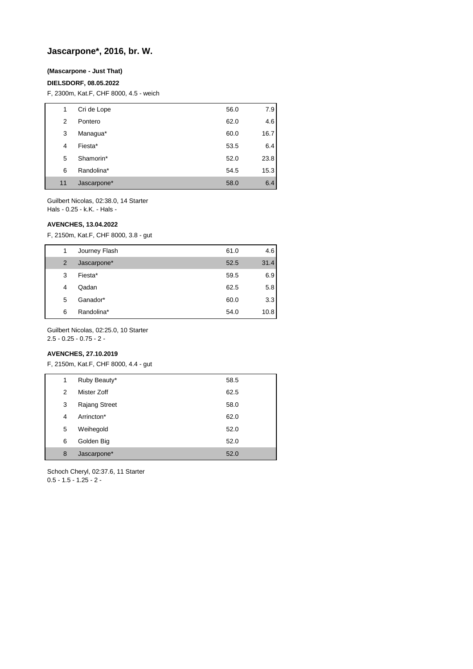# **Jascarpone\*, 2016, br. W.**

### **(Mascarpone - Just That)**

#### **DIELSDORF, 08.05.2022**

F, 2300m, Kat.F, CHF 8000, 4.5 - weich

| 1  | Cri de Lope | 56.0 | 7.9  |
|----|-------------|------|------|
| 2  | Pontero     | 62.0 | 4.6  |
| 3  | Managua*    | 60.0 | 16.7 |
| 4  | Fiesta*     | 53.5 | 6.4  |
| 5  | Shamorin*   | 52.0 | 23.8 |
| 6  | Randolina*  | 54.5 | 15.3 |
| 11 | Jascarpone* | 58.0 | 6.4  |

Guilbert Nicolas, 02:38.0, 14 Starter Hals - 0.25 - k.K. - Hals -

#### **AVENCHES, 13.04.2022**

F, 2150m, Kat.F, CHF 8000, 3.8 - gut

| 1 | Journey Flash | 61.0 | 4.6  |
|---|---------------|------|------|
| 2 | Jascarpone*   | 52.5 | 31.4 |
| 3 | Fiesta*       | 59.5 | 6.9  |
| 4 | Qadan         | 62.5 | 5.8  |
| 5 | Ganador*      | 60.0 | 3.3  |
| 6 | Randolina*    | 54.0 | 10.8 |

Guilbert Nicolas, 02:25.0, 10 Starter 2.5 - 0.25 - 0.75 - 2 -

# **AVENCHES, 27.10.2019**

F, 2150m, Kat.F, CHF 8000, 4.4 - gut

| Ruby Beauty*<br>1<br>58.5<br>Mister Zoff<br>62.5<br>2<br><b>Rajang Street</b><br>3<br>58.0 |  |
|--------------------------------------------------------------------------------------------|--|
|                                                                                            |  |
|                                                                                            |  |
|                                                                                            |  |
| Arrincton*<br>62.0<br>4                                                                    |  |
| 5<br>Weihegold<br>52.0                                                                     |  |
| Golden Big<br>6<br>52.0                                                                    |  |
| Jascarpone*<br>8<br>52.0                                                                   |  |

Schoch Cheryl, 02:37.6, 11 Starter  $0.5 - 1.5 - 1.25 - 2 -$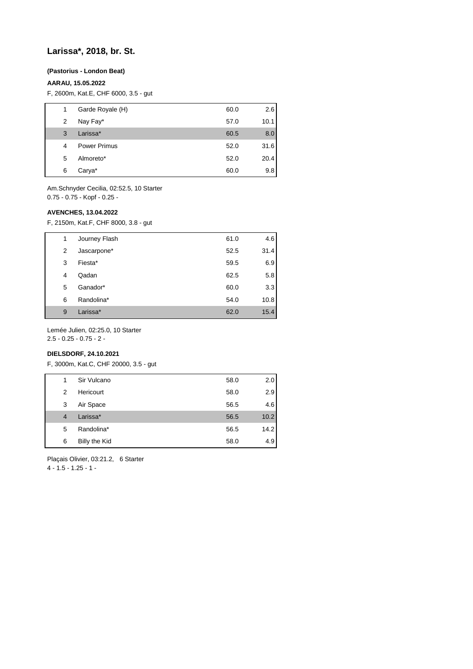### **Larissa\*, 2018, br. St.**

#### **(Pastorius - London Beat)**

#### **AARAU, 15.05.2022**

F, 2600m, Kat.E, CHF 6000, 3.5 - gut

| 1 | Garde Royale (H)    | 60.0 | 2.6  |
|---|---------------------|------|------|
| 2 | Nay Fay*            | 57.0 | 10.1 |
| 3 | Larissa*            | 60.5 | 8.0  |
| 4 | <b>Power Primus</b> | 52.0 | 31.6 |
| 5 | Almoreto*           | 52.0 | 20.4 |
| 6 | Carya*              | 60.0 | 9.8  |

Am.Schnyder Cecilia, 02:52.5, 10 Starter 0.75 - 0.75 - Kopf - 0.25 -

#### **AVENCHES, 13.04.2022**

F, 2150m, Kat.F, CHF 8000, 3.8 - gut

| 1              | Journey Flash | 61.0 | 4.6  |
|----------------|---------------|------|------|
| $\overline{2}$ | Jascarpone*   | 52.5 | 31.4 |
| 3              | Fiesta*       | 59.5 | 6.9  |
| 4              | Qadan         | 62.5 | 5.8  |
| 5              | Ganador*      | 60.0 | 3.3  |
| 6              | Randolina*    | 54.0 | 10.8 |
| 9              | Larissa*      | 62.0 | 15.4 |

Lemée Julien, 02:25.0, 10 Starter 2.5 - 0.25 - 0.75 - 2 -

#### **DIELSDORF, 24.10.2021**

F, 3000m, Kat.C, CHF 20000, 3.5 - gut

| 1              | Sir Vulcano   | 58.0 | 2.0  |
|----------------|---------------|------|------|
| 2              | Hericourt     | 58.0 | 2.9  |
| 3              | Air Space     | 56.5 | 4.6  |
| $\overline{4}$ | Larissa*      | 56.5 | 10.2 |
| 5              | Randolina*    | 56.5 | 14.2 |
| 6              | Billy the Kid | 58.0 | 4.9  |

Plaçais Olivier, 03:21.2, 6 Starter

 $4 - 1.5 - 1.25 - 1$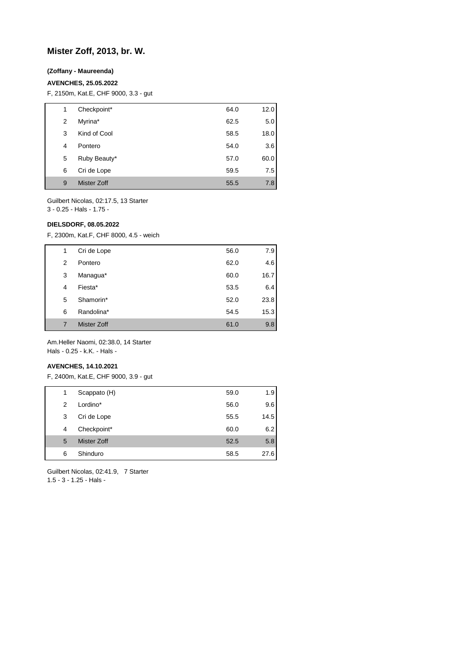# **Mister Zoff, 2013, br. W.**

### **(Zoffany - Maureenda)**

#### **AVENCHES, 25.05.2022**

F, 2150m, Kat.E, CHF 9000, 3.3 - gut

| 1 | Checkpoint*  | 64.0 | 12.0 |
|---|--------------|------|------|
| 2 | Myrina*      | 62.5 | 5.0  |
| 3 | Kind of Cool | 58.5 | 18.0 |
| 4 | Pontero      | 54.0 | 3.6  |
| 5 | Ruby Beauty* | 57.0 | 60.0 |
| 6 | Cri de Lope  | 59.5 | 7.5  |
| 9 | Mister Zoff  | 55.5 | 7.8  |

Guilbert Nicolas, 02:17.5, 13 Starter

3 - 0.25 - Hals - 1.75 -

### **DIELSDORF, 08.05.2022**

F, 2300m, Kat.F, CHF 8000, 4.5 - weich

| 1 | Cri de Lope        | 56.0 | 7.9  |
|---|--------------------|------|------|
| 2 | Pontero            | 62.0 | 4.6  |
| 3 | Managua*           | 60.0 | 16.7 |
| 4 | Fiesta*            | 53.5 | 6.4  |
| 5 | Shamorin*          | 52.0 | 23.8 |
| 6 | Randolina*         | 54.5 | 15.3 |
| 7 | <b>Mister Zoff</b> | 61.0 | 9.8  |

Am.Heller Naomi, 02:38.0, 14 Starter Hals - 0.25 - k.K. - Hals -

#### **AVENCHES, 14.10.2021**

F, 2400m, Kat.E, CHF 9000, 3.9 - gut

| 1 | Scappato (H) | 59.0 | 1.9  |
|---|--------------|------|------|
| 2 | Lordino*     | 56.0 | 9.6  |
| 3 | Cri de Lope  | 55.5 | 14.5 |
| 4 | Checkpoint*  | 60.0 | 6.2  |
| 5 | Mister Zoff  | 52.5 | 5.8  |
| 6 | Shinduro     | 58.5 | 27.6 |

Guilbert Nicolas, 02:41.9, 7 Starter 1.5 - 3 - 1.25 - Hals -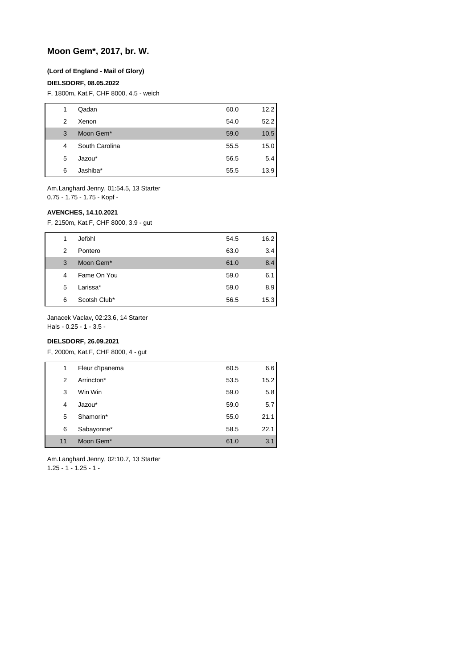# **Moon Gem\*, 2017, br. W.**

#### **(Lord of England - Mail of Glory)**

#### **DIELSDORF, 08.05.2022**

F, 1800m, Kat.F, CHF 8000, 4.5 - weich

| 1 | Qadan          | 60.0 | 12.2 |
|---|----------------|------|------|
| 2 | Xenon          | 54.0 | 52.2 |
| 3 | Moon Gem*      | 59.0 | 10.5 |
| 4 | South Carolina | 55.5 | 15.0 |
| 5 | Jazou*         | 56.5 | 5.4  |
| 6 | Jashiba*       | 55.5 | 13.9 |

Am.Langhard Jenny, 01:54.5, 13 Starter 0.75 - 1.75 - 1.75 - Kopf -

#### **AVENCHES, 14.10.2021**

F, 2150m, Kat.F, CHF 8000, 3.9 - gut

| 1 | Jeföhl       | 54.5 | 16.2 |
|---|--------------|------|------|
| 2 | Pontero      | 63.0 | 3.4  |
| 3 | Moon Gem*    | 61.0 | 8.4  |
| 4 | Fame On You  | 59.0 | 6.1  |
| 5 | Larissa*     | 59.0 | 8.9  |
| 6 | Scotsh Club* | 56.5 | 15.3 |

Janacek Vaclav, 02:23.6, 14 Starter

Hals - 0.25 - 1 - 3.5 -

### **DIELSDORF, 26.09.2021**

F, 2000m, Kat.F, CHF 8000, 4 - gut

|    | 1 | Fleur d'Ipanema | 60.5 | 6.6  |
|----|---|-----------------|------|------|
|    | 2 | Arrincton*      | 53.5 | 15.2 |
|    | 3 | Win Win         | 59.0 | 5.8  |
| 4  |   | Jazou*          | 59.0 | 5.7  |
|    | 5 | Shamorin*       | 55.0 | 21.1 |
|    | 6 | Sabayonne*      | 58.5 | 22.1 |
| 11 |   | Moon Gem*       | 61.0 | 3.1  |

Am.Langhard Jenny, 02:10.7, 13 Starter 1.25 - 1 - 1.25 - 1 -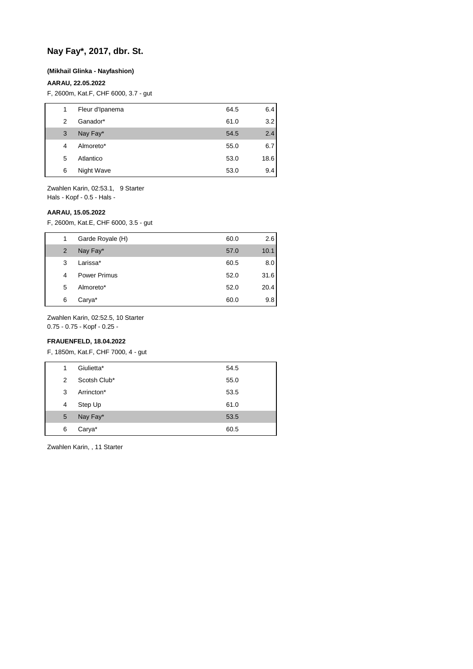# **Nay Fay\*, 2017, dbr. St.**

#### **(Mikhail Glinka - Nayfashion)**

### **AARAU, 22.05.2022**

F, 2600m, Kat.F, CHF 6000, 3.7 - gut

| 1 | Fleur d'Ipanema | 64.5 | 6.4  |
|---|-----------------|------|------|
| 2 | Ganador*        | 61.0 | 3.2  |
| 3 | Nay Fay*        | 54.5 | 2.4  |
| 4 | Almoreto*       | 55.0 | 6.7  |
| 5 | Atlantico       | 53.0 | 18.6 |
| 6 | Night Wave      | 53.0 | 9.4  |
|   |                 |      |      |

Zwahlen Karin, 02:53.1, 9 Starter Hals - Kopf - 0.5 - Hals -

#### **AARAU, 15.05.2022**

F, 2600m, Kat.E, CHF 6000, 3.5 - gut

| 1 | Garde Royale (H)    | 60.0 | 2.6  |
|---|---------------------|------|------|
| 2 | Nay Fay*            | 57.0 | 10.1 |
| 3 | Larissa*            | 60.5 | 8.0  |
| 4 | <b>Power Primus</b> | 52.0 | 31.6 |
| 5 | Almoreto*           | 52.0 | 20.4 |
| 6 | Carya*              | 60.0 | 9.8  |

Zwahlen Karin, 02:52.5, 10 Starter

0.75 - 0.75 - Kopf - 0.25 -

### **FRAUENFELD, 18.04.2022**

F, 1850m, Kat.F, CHF 7000, 4 - gut

| 1 | Giulietta*   | 54.5 |
|---|--------------|------|
| 2 | Scotsh Club* | 55.0 |
| 3 | Arrincton*   | 53.5 |
| 4 | Step Up      | 61.0 |
| 5 | Nay Fay*     | 53.5 |
| 6 | Carya*       | 60.5 |

Zwahlen Karin, , 11 Starter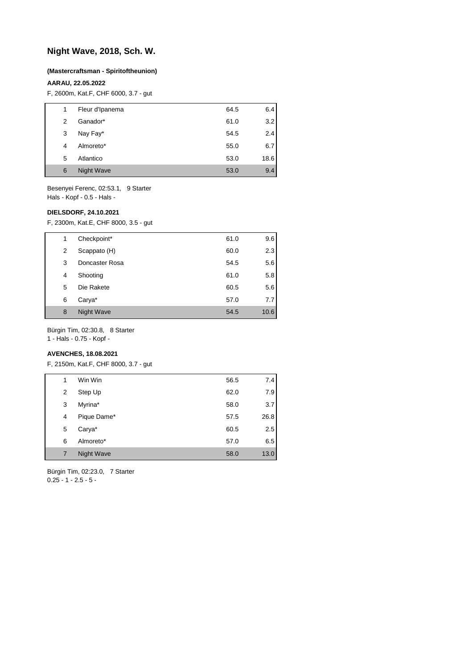# **Night Wave, 2018, Sch. W.**

#### **(Mastercraftsman - Spiritoftheunion)**

#### **AARAU, 22.05.2022**

F, 2600m, Kat.F, CHF 6000, 3.7 - gut

| 1 | Fleur d'Ipanema   | 64.5 | 6.4  |
|---|-------------------|------|------|
| 2 | Ganador*          | 61.0 | 3.2  |
| 3 | Nay Fay*          | 54.5 | 2.4  |
| 4 | Almoreto*         | 55.0 | 6.7  |
| 5 | Atlantico         | 53.0 | 18.6 |
| 6 | <b>Night Wave</b> | 53.0 | 9.4  |

Besenyei Ferenc, 02:53.1, 9 Starter Hals - Kopf - 0.5 - Hals -

#### **DIELSDORF, 24.10.2021**

F, 2300m, Kat.E, CHF 8000, 3.5 - gut

| 1 | Checkpoint*    | 61.0 | 9.6  |
|---|----------------|------|------|
| 2 | Scappato (H)   | 60.0 | 2.3  |
| 3 | Doncaster Rosa | 54.5 | 5.6  |
| 4 | Shooting       | 61.0 | 5.8  |
| 5 | Die Rakete     | 60.5 | 5.6  |
| 6 | Carya*         | 57.0 | 7.7  |
| 8 | Night Wave     | 54.5 | 10.6 |

Bürgin Tim, 02:30.8, 8 Starter

1 - Hals - 0.75 - Kopf -

### **AVENCHES, 18.08.2021**

F, 2150m, Kat.F, CHF 8000, 3.7 - gut

| 1 | Win Win     | 56.5 | 7.4  |
|---|-------------|------|------|
| 2 | Step Up     | 62.0 | 7.9  |
| 3 | Myrina*     | 58.0 | 3.7  |
| 4 | Pique Dame* | 57.5 | 26.8 |
| 5 | Carya*      | 60.5 | 2.5  |
| 6 | Almoreto*   | 57.0 | 6.5  |
| 7 | Night Wave  | 58.0 | 13.0 |

Bürgin Tim, 02:23.0, 7 Starter  $0.25 - 1 - 2.5 - 5 -$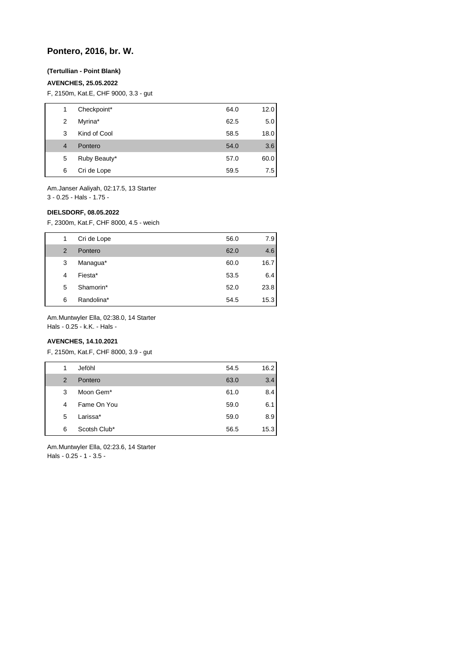# **Pontero, 2016, br. W.**

### **(Tertullian - Point Blank)**

### **AVENCHES, 25.05.2022**

F, 2150m, Kat.E, CHF 9000, 3.3 - gut

| 1 | Checkpoint*  | 64.0 | 12.0 |
|---|--------------|------|------|
| 2 | Myrina*      | 62.5 | 5.0  |
| 3 | Kind of Cool | 58.5 | 18.0 |
| 4 | Pontero      | 54.0 | 3.6  |
| 5 | Ruby Beauty* | 57.0 | 60.0 |
| 6 | Cri de Lope  | 59.5 | 7.5  |
|   |              |      |      |

Am.Janser Aaliyah, 02:17.5, 13 Starter 3 - 0.25 - Hals - 1.75 -

#### **DIELSDORF, 08.05.2022**

F, 2300m, Kat.F, CHF 8000, 4.5 - weich

| 1 | Cri de Lope | 56.0 | 7.9  |
|---|-------------|------|------|
| 2 | Pontero     | 62.0 | 4.6  |
| 3 | Managua*    | 60.0 | 16.7 |
| 4 | Fiesta*     | 53.5 | 6.4  |
| 5 | Shamorin*   | 52.0 | 23.8 |
| 6 | Randolina*  | 54.5 | 15.3 |

Am.Muntwyler Ella, 02:38.0, 14 Starter

Hals - 0.25 - k.K. - Hals -

### **AVENCHES, 14.10.2021**

F, 2150m, Kat.F, CHF 8000, 3.9 - gut

| 1 | Jeföhl       | 54.5 | 16.2 |
|---|--------------|------|------|
| 2 | Pontero      | 63.0 | 3.4  |
| 3 | Moon Gem*    | 61.0 | 8.4  |
| 4 | Fame On You  | 59.0 | 6.1  |
| 5 | Larissa*     | 59.0 | 8.9  |
| 6 | Scotsh Club* | 56.5 | 15.3 |
|   |              |      |      |

Am.Muntwyler Ella, 02:23.6, 14 Starter Hals - 0.25 - 1 - 3.5 -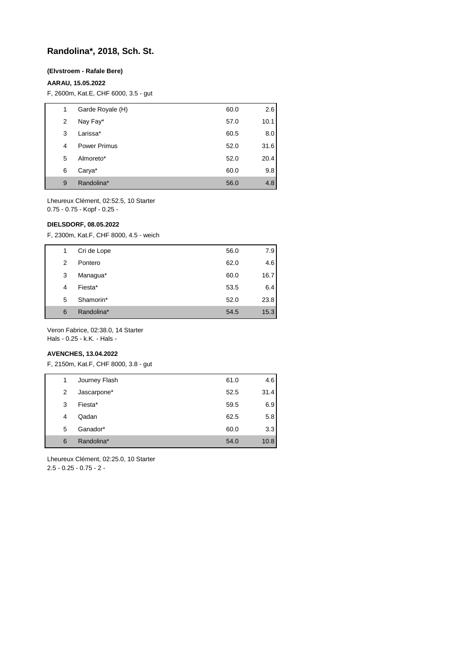# **Randolina\*, 2018, Sch. St.**

#### **(Elvstroem - Rafale Bere)**

### **AARAU, 15.05.2022**

F, 2600m, Kat.E, CHF 6000, 3.5 - gut

| 1 | Garde Royale (H)    | 60.0 | 2.6  |
|---|---------------------|------|------|
| 2 | Nay Fay*            | 57.0 | 10.1 |
| 3 | Larissa*            | 60.5 | 8.0  |
| 4 | <b>Power Primus</b> | 52.0 | 31.6 |
| 5 | Almoreto*           | 52.0 | 20.4 |
| 6 | Carya*              | 60.0 | 9.8  |
| 9 | Randolina*          | 56.0 | 4.8  |

Lheureux Clément, 02:52.5, 10 Starter 0.75 - 0.75 - Kopf - 0.25 -

#### **DIELSDORF, 08.05.2022**

F, 2300m, Kat.F, CHF 8000, 4.5 - weich

| 1 | Cri de Lope | 56.0 | 7.9  |
|---|-------------|------|------|
| 2 | Pontero     | 62.0 | 4.6  |
| 3 | Managua*    | 60.0 | 16.7 |
| 4 | Fiesta*     | 53.5 | 6.4  |
| 5 | Shamorin*   | 52.0 | 23.8 |
| 6 | Randolina*  | 54.5 | 15.3 |

Veron Fabrice, 02:38.0, 14 Starter

Hals - 0.25 - k.K. - Hals -

#### **AVENCHES, 13.04.2022**

F, 2150m, Kat.F, CHF 8000, 3.8 - gut

| 1 | Journey Flash | 61.0 | 4.6  |
|---|---------------|------|------|
| 2 | Jascarpone*   | 52.5 | 31.4 |
| 3 | Fiesta*       | 59.5 | 6.9  |
| 4 | Qadan         | 62.5 | 5.8  |
| 5 | Ganador*      | 60.0 | 3.3  |
| 6 | Randolina*    | 54.0 | 10.8 |

Lheureux Clément, 02:25.0, 10 Starter 2.5 - 0.25 - 0.75 - 2 -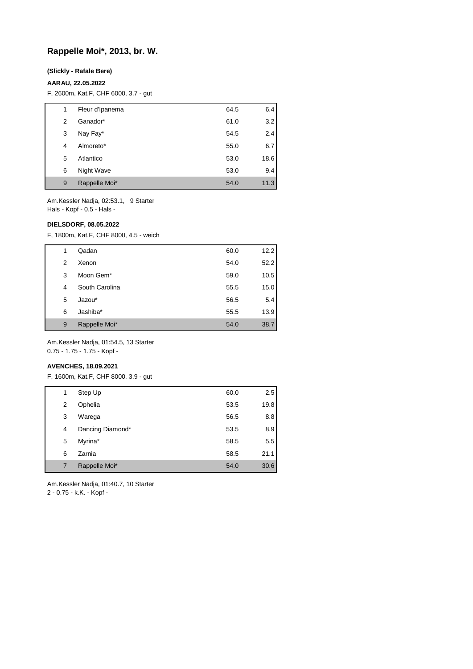### **Rappelle Moi\*, 2013, br. W.**

#### **(Slickly - Rafale Bere)**

#### **AARAU, 22.05.2022**

F, 2600m, Kat.F, CHF 6000, 3.7 - gut

| 1 | Fleur d'Ipanema | 64.5 | 6.4  |
|---|-----------------|------|------|
| 2 | Ganador*        | 61.0 | 3.2  |
| 3 | Nay Fay*        | 54.5 | 2.4  |
| 4 | Almoreto*       | 55.0 | 6.7  |
| 5 | Atlantico       | 53.0 | 18.6 |
| 6 | Night Wave      | 53.0 | 9.4  |
| 9 | Rappelle Moi*   | 54.0 | 11.3 |
|   |                 |      |      |

Am.Kessler Nadja, 02:53.1, 9 Starter Hals - Kopf - 0.5 - Hals -

### **DIELSDORF, 08.05.2022**

F, 1800m, Kat.F, CHF 8000, 4.5 - weich

| 1 | Qadan          | 60.0 | 12.2 |
|---|----------------|------|------|
| 2 | Xenon          | 54.0 | 52.2 |
| 3 | Moon Gem*      | 59.0 | 10.5 |
| 4 | South Carolina | 55.5 | 15.0 |
| 5 | Jazou*         | 56.5 | 5.4  |
| 6 | Jashiba*       | 55.5 | 13.9 |
| 9 | Rappelle Moi*  | 54.0 | 38.7 |

Am.Kessler Nadja, 01:54.5, 13 Starter 0.75 - 1.75 - 1.75 - Kopf -

#### **AVENCHES, 18.09.2021**

F, 1600m, Kat.F, CHF 8000, 3.9 - gut

| 1 | Step Up          | 60.0 | 2.5  |
|---|------------------|------|------|
| 2 | Ophelia          | 53.5 | 19.8 |
| 3 | Warega           | 56.5 | 8.8  |
| 4 | Dancing Diamond* | 53.5 | 8.9  |
| 5 | Myrina*          | 58.5 | 5.5  |
| 6 | Zarnia           | 58.5 | 21.1 |
| 7 | Rappelle Moi*    | 54.0 | 30.6 |

Am.Kessler Nadja, 01:40.7, 10 Starter 2 - 0.75 - k.K. - Kopf -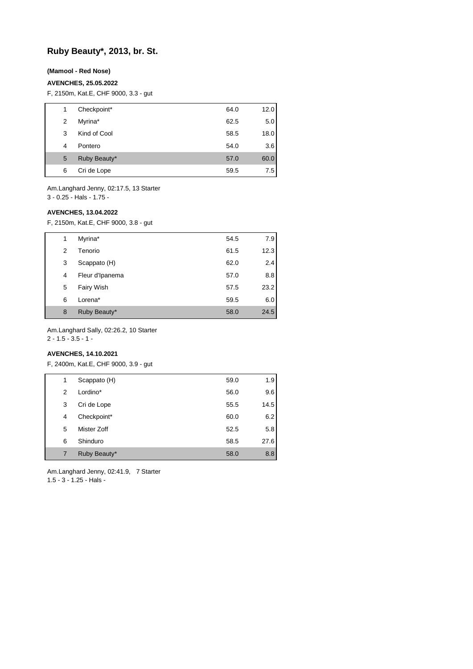# **Ruby Beauty\*, 2013, br. St.**

#### **(Mamool - Red Nose)**

#### **AVENCHES, 25.05.2022**

F, 2150m, Kat.E, CHF 9000, 3.3 - gut

| 1 | Checkpoint*  | 64.0 | 12.0 |
|---|--------------|------|------|
| 2 | Myrina*      | 62.5 | 5.0  |
| 3 | Kind of Cool | 58.5 | 18.0 |
| 4 | Pontero      | 54.0 | 3.6  |
| 5 | Ruby Beauty* | 57.0 | 60.0 |
| 6 | Cri de Lope  | 59.5 | 7.5  |

Am.Langhard Jenny, 02:17.5, 13 Starter 3 - 0.25 - Hals - 1.75 -

#### **AVENCHES, 13.04.2022**

F, 2150m, Kat.E, CHF 9000, 3.8 - gut

| 1 | Myrina*         | 54.5 | 7.9  |
|---|-----------------|------|------|
| 2 | Tenorio         | 61.5 | 12.3 |
| 3 | Scappato (H)    | 62.0 | 2.4  |
| 4 | Fleur d'Ipanema | 57.0 | 8.8  |
| 5 | Fairy Wish      | 57.5 | 23.2 |
| 6 | Lorena*         | 59.5 | 6.0  |
| 8 | Ruby Beauty*    | 58.0 | 24.5 |

Am.Langhard Sally, 02:26.2, 10 Starter

 $2 - 1.5 - 3.5 - 1$ 

## **AVENCHES, 14.10.2021**

F, 2400m, Kat.E, CHF 9000, 3.9 - gut

| 1 | Scappato (H) | 59.0 | 1.9  |
|---|--------------|------|------|
| 2 | Lordino*     | 56.0 | 9.6  |
| 3 | Cri de Lope  | 55.5 | 14.5 |
| 4 | Checkpoint*  | 60.0 | 6.2  |
| 5 | Mister Zoff  | 52.5 | 5.8  |
| 6 | Shinduro     | 58.5 | 27.6 |
|   | Ruby Beauty* | 58.0 | 8.8  |

Am.Langhard Jenny, 02:41.9, 7 Starter 1.5 - 3 - 1.25 - Hals -